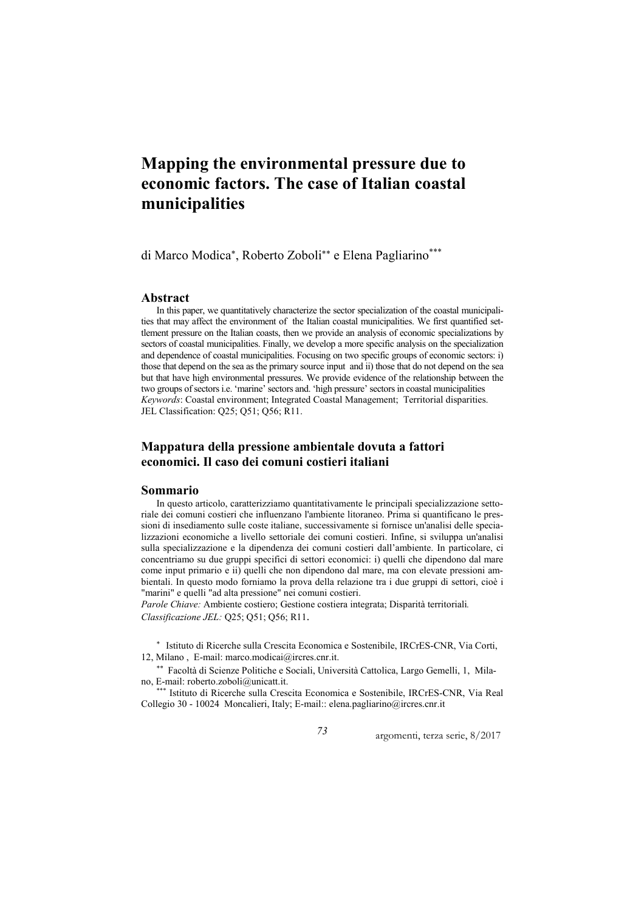# **Mapping the environmental pressure due to economic factors. The case of Italian coastal municipalities**

di Marco Modica<sup>∗</sup> , Roberto Zoboli∗∗ e Elena Pagliarino\*\*\*

#### **Abstract**

In this paper, we quantitatively characterize the sector specialization of the coastal municipalities that may affect the environment of the Italian coastal municipalities. We first quantified settlement pressure on the Italian coasts, then we provide an analysis of economic specializations by sectors of coastal municipalities. Finally, we develop a more specific analysis on the specialization and dependence of coastal municipalities. Focusing on two specific groups of economic sectors: i) those that depend on the sea as the primary source input and ii) those that do not depend on the sea but that have high environmental pressures. We provide evidence of the relationship between the two groups of sectors i.e. 'marine' sectors and. 'high pressure' sectors in coastal municipalities *Keywords*: Coastal environment; Integrated Coastal Management; Territorial disparities. JEL Classification: Q25; Q51; Q56; R11.

# **Mappatura della pressione ambientale dovuta a fattori economici. Il caso dei comuni costieri italiani**

#### **Sommario**

In questo articolo, caratterizziamo quantitativamente le principali specializzazione settoriale dei comuni costieri che influenzano l'ambiente litoraneo. Prima si quantificano le pressioni di insediamento sulle coste italiane, successivamente si fornisce un'analisi delle specializzazioni economiche a livello settoriale dei comuni costieri. Infine, si sviluppa un'analisi sulla specializzazione e la dipendenza dei comuni costieri dall'ambiente. In particolare, ci concentriamo su due gruppi specifici di settori economici: i) quelli che dipendono dal mare come input primario e ii) quelli che non dipendono dal mare, ma con elevate pressioni ambientali. In questo modo forniamo la prova della relazione tra i due gruppi di settori, cioè i "marini" e quelli "ad alta pressione" nei comuni costieri.

*Parole Chiave:* Ambiente costiero; Gestione costiera integrata; Disparità territoriali*. Classificazione JEL:* Q25; Q51; Q56; R11.

∗ Istituto di Ricerche sulla Crescita Economica e Sostenibile, IRCrES-CNR, Via Corti, 12, Milano , E-mail: marco.modicai@ircres.cnr.it.

∗∗ Facoltà di Scienze Politiche e Sociali, Università Cattolica, Largo Gemelli, 1, Milano, E-mail: roberto.zoboli@unicatt.it.

\*\*\* Istituto di Ricerche sulla Crescita Economica e Sostenibile, IRCrES-CNR, Via Real Collegio 30 - 10024 Moncalieri, Italy; E-mail:: elena.pagliarino@ircres.cnr.it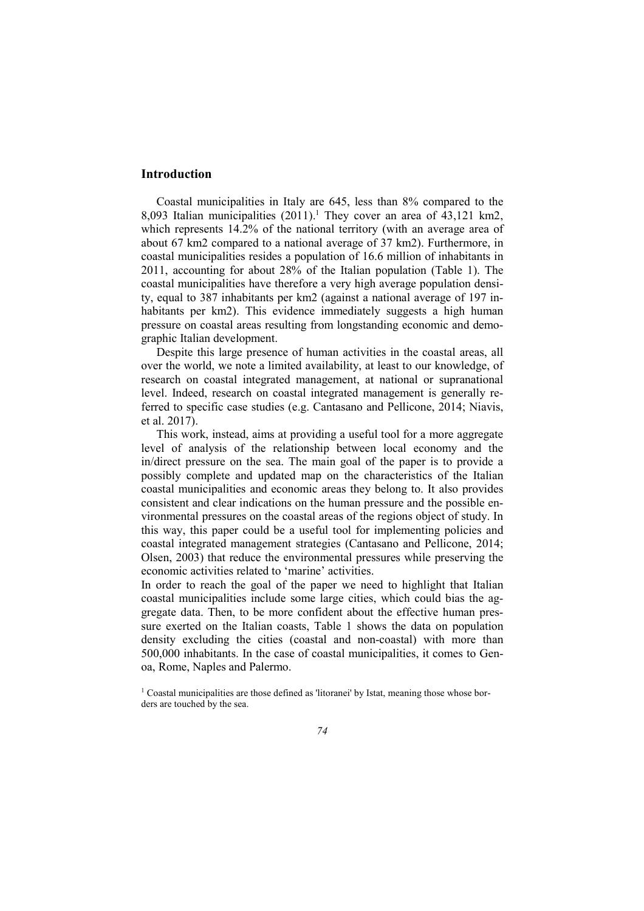## **Introduction**

Coastal municipalities in Italy are 645, less than 8% compared to the 8,093 Italian municipalities  $(2011).$ <sup>1</sup> They cover an area of 43,121 km2, which represents 14.2% of the national territory (with an average area of about 67 km2 compared to a national average of 37 km2). Furthermore, in coastal municipalities resides a population of 16.6 million of inhabitants in 2011, accounting for about 28% of the Italian population (Table 1). The coastal municipalities have therefore a very high average population density, equal to 387 inhabitants per km2 (against a national average of 197 inhabitants per km2). This evidence immediately suggests a high human pressure on coastal areas resulting from longstanding economic and demographic Italian development.

Despite this large presence of human activities in the coastal areas, all over the world, we note a limited availability, at least to our knowledge, of research on coastal integrated management, at national or supranational level. Indeed, research on coastal integrated management is generally referred to specific case studies (e.g. Cantasano and Pellicone, 2014; Niavis, et al. 2017).

This work, instead, aims at providing a useful tool for a more aggregate level of analysis of the relationship between local economy and the in/direct pressure on the sea. The main goal of the paper is to provide a possibly complete and updated map on the characteristics of the Italian coastal municipalities and economic areas they belong to. It also provides consistent and clear indications on the human pressure and the possible environmental pressures on the coastal areas of the regions object of study. In this way, this paper could be a useful tool for implementing policies and coastal integrated management strategies (Cantasano and Pellicone, 2014; Olsen, 2003) that reduce the environmental pressures while preserving the economic activities related to 'marine' activities.

In order to reach the goal of the paper we need to highlight that Italian coastal municipalities include some large cities, which could bias the aggregate data. Then, to be more confident about the effective human pressure exerted on the Italian coasts, Table 1 shows the data on population density excluding the cities (coastal and non-coastal) with more than 500,000 inhabitants. In the case of coastal municipalities, it comes to Genoa, Rome, Naples and Palermo.

<sup>&</sup>lt;sup>1</sup> Coastal municipalities are those defined as 'litoranei' by Istat, meaning those whose borders are touched by the sea.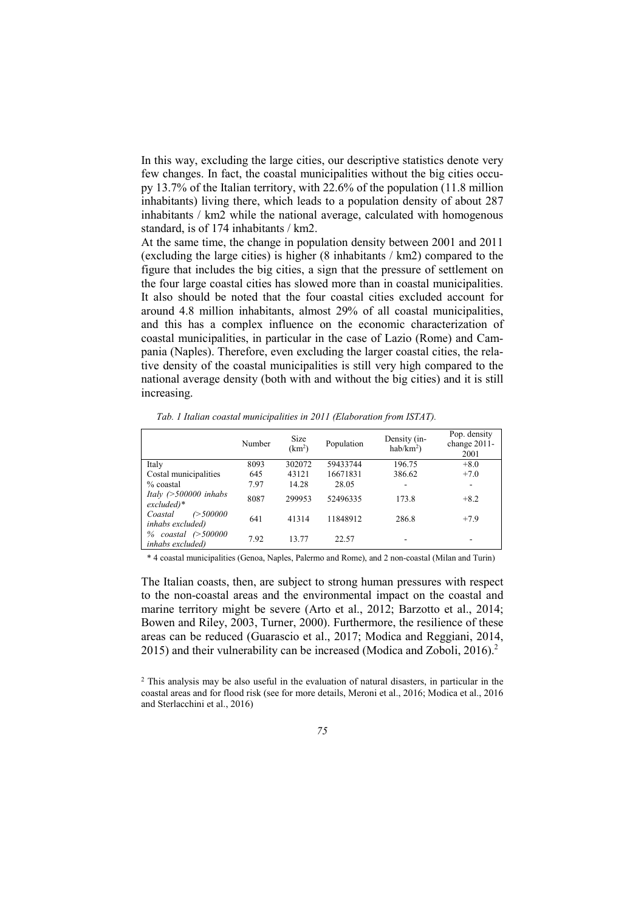In this way, excluding the large cities, our descriptive statistics denote very few changes. In fact, the coastal municipalities without the big cities occupy 13.7% of the Italian territory, with 22.6% of the population (11.8 million inhabitants) living there, which leads to a population density of about 287 inhabitants / km2 while the national average, calculated with homogenous standard, is of 174 inhabitants / km2.

At the same time, the change in population density between 2001 and 2011 (excluding the large cities) is higher (8 inhabitants / km2) compared to the figure that includes the big cities, a sign that the pressure of settlement on the four large coastal cities has slowed more than in coastal municipalities. It also should be noted that the four coastal cities excluded account for around 4.8 million inhabitants, almost 29% of all coastal municipalities, and this has a complex influence on the economic characterization of coastal municipalities, in particular in the case of Lazio (Rome) and Campania (Naples). Therefore, even excluding the larger coastal cities, the relative density of the coastal municipalities is still very high compared to the national average density (both with and without the big cities) and it is still increasing.

|  |  | Tab. 1 Italian coastal municipalities in 2011 (Elaboration from ISTAT). |
|--|--|-------------------------------------------------------------------------|
|  |  |                                                                         |

|                                                          | Number | Size<br>(km <sup>2</sup> ) | Population | Density (in-<br>$hab/km2$ ) | Pop. density<br>change 2011-<br>2001 |
|----------------------------------------------------------|--------|----------------------------|------------|-----------------------------|--------------------------------------|
| Italy                                                    | 8093   | 302072                     | 59433744   | 196.75                      | $+8.0$                               |
| Costal municipalities                                    | 645    | 43121                      | 16671831   | 386.62                      | $+7.0$                               |
| $%$ coastal                                              | 7.97   | 14.28                      | 28.05      |                             | $\overline{\phantom{a}}$             |
| Italy $($ >500000 inhabs<br>$excluded)*$                 | 8087   | 299953                     | 52496335   | 173.8                       | $+8.2$                               |
| Coastal<br>$\curvearrowright$ 500000<br>inhabs excluded) | 641    | 41314                      | 11848912   | 286.8                       | $+7.9$                               |
| $coastal$ $($ > 500000<br>%<br><i>inhabs excluded</i> )  | 7.92   | 13.77                      | 22.57      |                             | ٠                                    |

\* 4 coastal municipalities (Genoa, Naples, Palermo and Rome), and 2 non-coastal (Milan and Turin)

The Italian coasts, then, are subject to strong human pressures with respect to the non-coastal areas and the environmental impact on the coastal and marine territory might be severe (Arto et al., 2012; Barzotto et al., 2014; Bowen and Riley, 2003, Turner, 2000). Furthermore, the resilience of these areas can be reduced (Guarascio et al., 2017; Modica and Reggiani, 2014, 2015) and their vulnerability can be increased (Modica and Zoboli, 2016).<sup>2</sup>

<sup>&</sup>lt;sup>2</sup> This analysis may be also useful in the evaluation of natural disasters, in particular in the coastal areas and for flood risk (see for more details, Meroni et al., 2016; Modica et al., 2016 and Sterlacchini et al., 2016)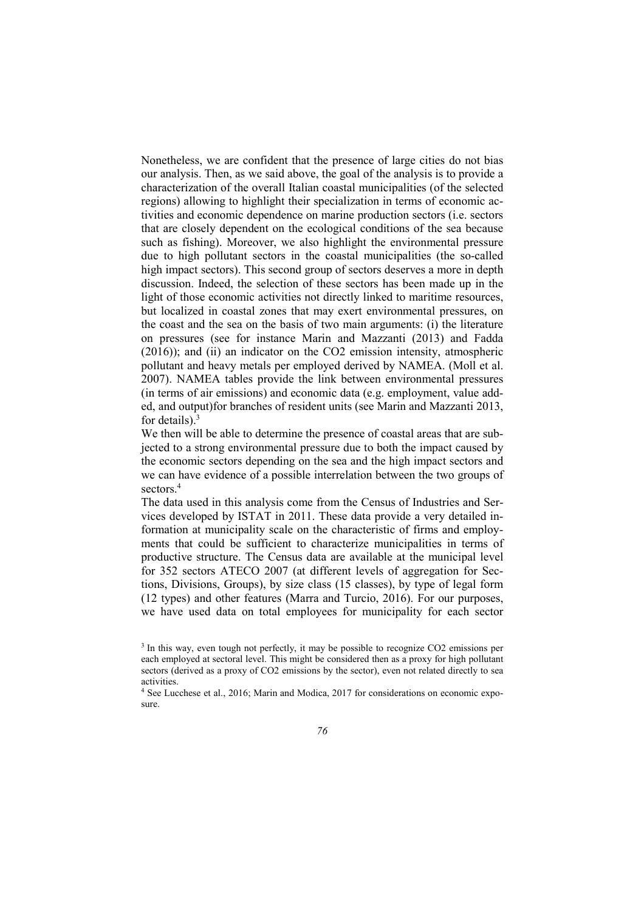Nonetheless, we are confident that the presence of large cities do not bias our analysis. Then, as we said above, the goal of the analysis is to provide a characterization of the overall Italian coastal municipalities (of the selected regions) allowing to highlight their specialization in terms of economic activities and economic dependence on marine production sectors (i.e. sectors that are closely dependent on the ecological conditions of the sea because such as fishing). Moreover, we also highlight the environmental pressure due to high pollutant sectors in the coastal municipalities (the so-called high impact sectors). This second group of sectors deserves a more in depth discussion. Indeed, the selection of these sectors has been made up in the light of those economic activities not directly linked to maritime resources, but localized in coastal zones that may exert environmental pressures, on the coast and the sea on the basis of two main arguments: (i) the literature on pressures (see for instance Marin and Mazzanti (2013) and Fadda (2016)); and (ii) an indicator on the CO2 emission intensity, atmospheric pollutant and heavy metals per employed derived by NAMEA. (Moll et al. 2007). NAMEA tables provide the link between environmental pressures (in terms of air emissions) and economic data (e.g. employment, value added, and output)for branches of resident units (see Marin and Mazzanti 2013, for details). $3$ 

We then will be able to determine the presence of coastal areas that are subjected to a strong environmental pressure due to both the impact caused by the economic sectors depending on the sea and the high impact sectors and we can have evidence of a possible interrelation between the two groups of sectors.<sup>4</sup>

The data used in this analysis come from the Census of Industries and Services developed by ISTAT in 2011. These data provide a very detailed information at municipality scale on the characteristic of firms and employments that could be sufficient to characterize municipalities in terms of productive structure. The Census data are available at the municipal level for 352 sectors ATECO 2007 (at different levels of aggregation for Sections, Divisions, Groups), by size class (15 classes), by type of legal form (12 types) and other features (Marra and Turcio, 2016). For our purposes, we have used data on total employees for municipality for each sector

<sup>&</sup>lt;sup>3</sup> In this way, even tough not perfectly, it may be possible to recognize CO2 emissions per each employed at sectoral level. This might be considered then as a proxy for high pollutant sectors (derived as a proxy of CO2 emissions by the sector), even not related directly to sea activities.

<sup>&</sup>lt;sup>4</sup> See Lucchese et al., 2016; Marin and Modica, 2017 for considerations on economic exposure.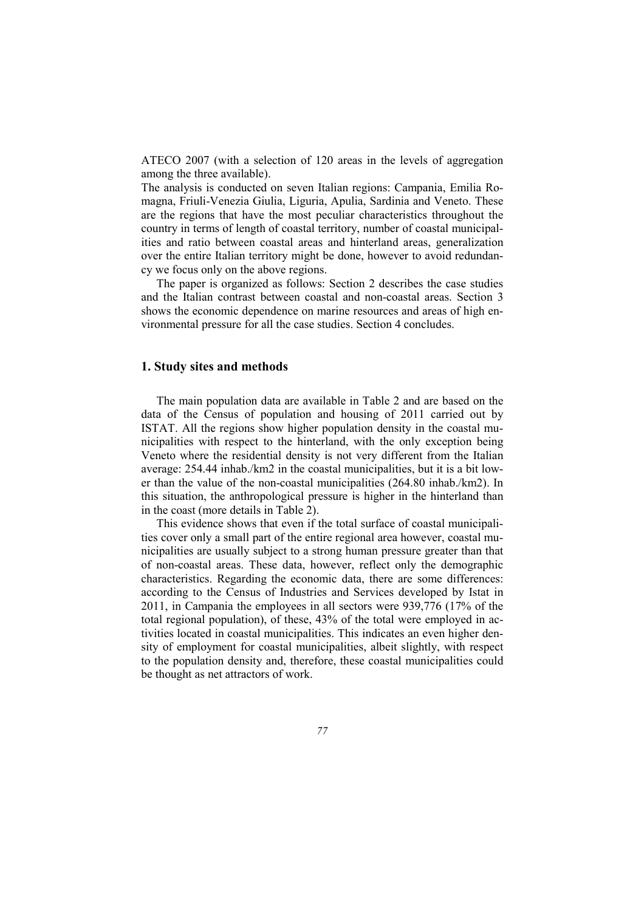ATECO 2007 (with a selection of 120 areas in the levels of aggregation among the three available).

The analysis is conducted on seven Italian regions: Campania, Emilia Romagna, Friuli-Venezia Giulia, Liguria, Apulia, Sardinia and Veneto. These are the regions that have the most peculiar characteristics throughout the country in terms of length of coastal territory, number of coastal municipalities and ratio between coastal areas and hinterland areas, generalization over the entire Italian territory might be done, however to avoid redundancy we focus only on the above regions.

The paper is organized as follows: Section 2 describes the case studies and the Italian contrast between coastal and non-coastal areas. Section 3 shows the economic dependence on marine resources and areas of high environmental pressure for all the case studies. Section 4 concludes.

## **1. Study sites and methods**

The main population data are available in Table 2 and are based on the data of the Census of population and housing of 2011 carried out by ISTAT. All the regions show higher population density in the coastal municipalities with respect to the hinterland, with the only exception being Veneto where the residential density is not very different from the Italian average: 254.44 inhab./km2 in the coastal municipalities, but it is a bit lower than the value of the non-coastal municipalities (264.80 inhab./km2). In this situation, the anthropological pressure is higher in the hinterland than in the coast (more details in Table 2).

This evidence shows that even if the total surface of coastal municipalities cover only a small part of the entire regional area however, coastal municipalities are usually subject to a strong human pressure greater than that of non-coastal areas. These data, however, reflect only the demographic characteristics. Regarding the economic data, there are some differences: according to the Census of Industries and Services developed by Istat in 2011, in Campania the employees in all sectors were 939,776 (17% of the total regional population), of these, 43% of the total were employed in activities located in coastal municipalities. This indicates an even higher density of employment for coastal municipalities, albeit slightly, with respect to the population density and, therefore, these coastal municipalities could be thought as net attractors of work.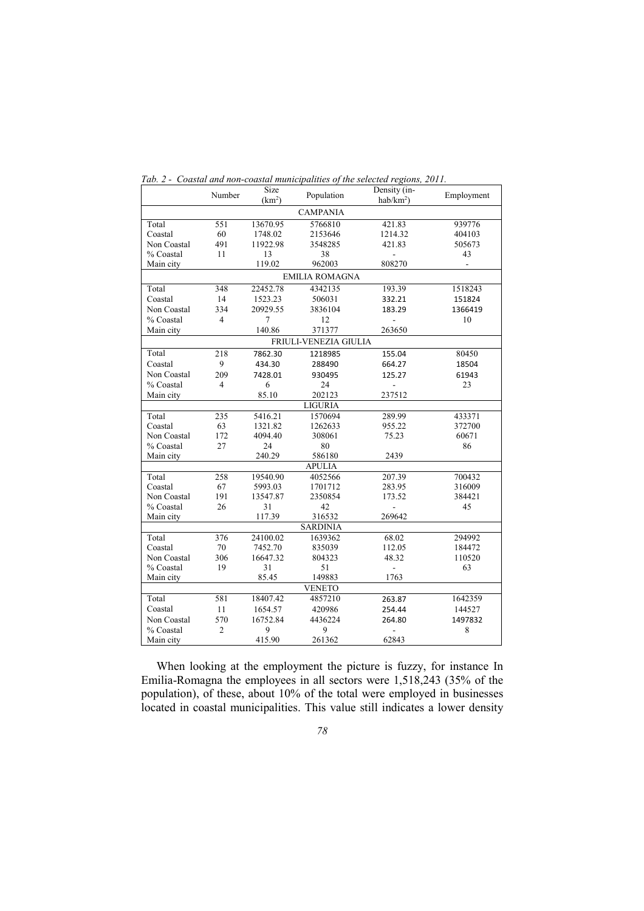|             | Number         | Size<br>(km <sup>2</sup> ) | Population            | Density (in-<br>$hab/km2$ ) | Employment |
|-------------|----------------|----------------------------|-----------------------|-----------------------------|------------|
|             |                |                            | <b>CAMPANIA</b>       |                             |            |
| Total       | 551            | 13670.95                   | 5766810               | 421.83                      | 939776     |
| Coastal     | 60             | 1748.02                    | 2153646               | 1214.32                     | 404103     |
| Non Coastal | 491            | 11922.98                   | 3548285               | 421.83                      | 505673     |
| % Coastal   | 11             | 13                         | 38                    |                             | 43         |
| Main city   |                | 119.02                     | 962003                | 808270                      | ÷,         |
|             |                |                            | <b>EMILIA ROMAGNA</b> |                             |            |
| Total       | 348            | 22452.78                   | 4342135               | 193.39                      | 1518243    |
| Coastal     | 14             | 1523.23                    | 506031                | 332.21                      | 151824     |
| Non Coastal | 334            | 20929.55                   | 3836104               | 183.29                      | 1366419    |
| % Coastal   | 4              | 7                          | 12                    |                             | 10         |
| Main city   |                | 140.86                     | 371377                | 263650                      |            |
|             |                |                            | FRIULI-VENEZIA GIULIA |                             |            |
| Total       | 218            | 7862.30                    | 1218985               | 155.04                      | 80450      |
| Coastal     | 9              | 434.30                     | 288490                | 664.27                      | 18504      |
| Non Coastal | 209            | 7428.01                    | 930495                | 125.27                      | 61943      |
| % Coastal   | $\overline{4}$ | 6                          | 24                    | $\overline{a}$              | 23         |
| Main city   |                | 85.10                      | 202123                | 237512                      |            |
|             |                |                            | <b>LIGURIA</b>        |                             |            |
| Total       | 235            | 5416.21                    | 1570694               | 289.99                      | 433371     |
| Coastal     | 63             | 1321.82                    | 1262633               | 955.22                      | 372700     |
| Non Coastal | 172            | 4094.40                    | 308061                | 75.23                       | 60671      |
| % Coastal   | 27             | 24                         | 80                    |                             | 86         |
| Main city   |                | 240.29                     | 586180                | 2439                        |            |
|             |                |                            | <b>APULIA</b>         |                             |            |
| Total       | 258            | 19540.90                   | 4052566               | 207.39                      | 700432     |
| Coastal     | 67             | 5993.03                    | 1701712               | 283.95                      | 316009     |
| Non Coastal | 191            | 13547.87                   | 2350854               | 173.52                      | 384421     |
| % Coastal   | 26             | 31                         | 42                    |                             | 45         |
| Main city   |                | 117.39                     | 316532                | 269642                      |            |
|             |                |                            | <b>SARDINIA</b>       |                             |            |
| Total       | 376            | 24100.02                   | 1639362               | 68.02                       | 294992     |
| Coastal     | 70             | 7452.70                    | 835039                | 112.05                      | 184472     |
| Non Coastal | 306            | 16647.32                   | 804323                | 48.32                       | 110520     |
| % Coastal   | 19             | 31                         | 51                    |                             | 63         |
| Main city   |                | 85.45                      | 149883                | 1763                        |            |
|             |                |                            | <b>VENETO</b>         |                             |            |
| Total       | 581            | 18407.42                   | 4857210               | 263.87                      | 1642359    |
| Coastal     | 11             | 1654.57                    | 420986                | 254.44                      | 144527     |
| Non Coastal | 570            | 16752.84                   | 4436224               | 264.80                      | 1497832    |
| % Coastal   | $\overline{2}$ | 9                          | 9                     | $\overline{a}$              | 8          |
| Main city   |                | 415.90                     | 261362                | 62843                       |            |
|             |                |                            |                       |                             |            |

*Tab. 2 - Coastal and non-coastal municipalities of the selected regions, 2011.* 

When looking at the employment the picture is fuzzy, for instance In Emilia-Romagna the employees in all sectors were 1,518,243 (35% of the population), of these, about 10% of the total were employed in businesses located in coastal municipalities. This value still indicates a lower density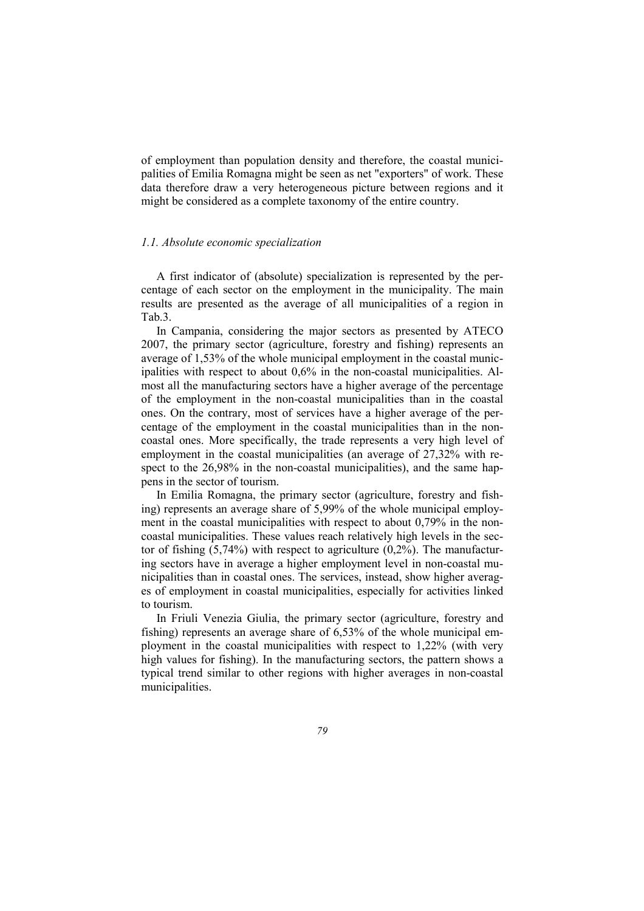of employment than population density and therefore, the coastal municipalities of Emilia Romagna might be seen as net "exporters" of work. These data therefore draw a very heterogeneous picture between regions and it might be considered as a complete taxonomy of the entire country.

### *1.1. Absolute economic specialization*

A first indicator of (absolute) specialization is represented by the percentage of each sector on the employment in the municipality. The main results are presented as the average of all municipalities of a region in Tab.3.

In Campania, considering the major sectors as presented by ATECO 2007, the primary sector (agriculture, forestry and fishing) represents an average of 1,53% of the whole municipal employment in the coastal municipalities with respect to about 0,6% in the non-coastal municipalities. Almost all the manufacturing sectors have a higher average of the percentage of the employment in the non-coastal municipalities than in the coastal ones. On the contrary, most of services have a higher average of the percentage of the employment in the coastal municipalities than in the noncoastal ones. More specifically, the trade represents a very high level of employment in the coastal municipalities (an average of 27,32% with respect to the 26,98% in the non-coastal municipalities), and the same happens in the sector of tourism.

In Emilia Romagna, the primary sector (agriculture, forestry and fishing) represents an average share of 5,99% of the whole municipal employment in the coastal municipalities with respect to about 0,79% in the noncoastal municipalities. These values reach relatively high levels in the sector of fishing  $(5,74\%)$  with respect to agriculture  $(0,2\%)$ . The manufacturing sectors have in average a higher employment level in non-coastal municipalities than in coastal ones. The services, instead, show higher averages of employment in coastal municipalities, especially for activities linked to tourism.

In Friuli Venezia Giulia, the primary sector (agriculture, forestry and fishing) represents an average share of 6,53% of the whole municipal employment in the coastal municipalities with respect to 1,22% (with very high values for fishing). In the manufacturing sectors, the pattern shows a typical trend similar to other regions with higher averages in non-coastal municipalities.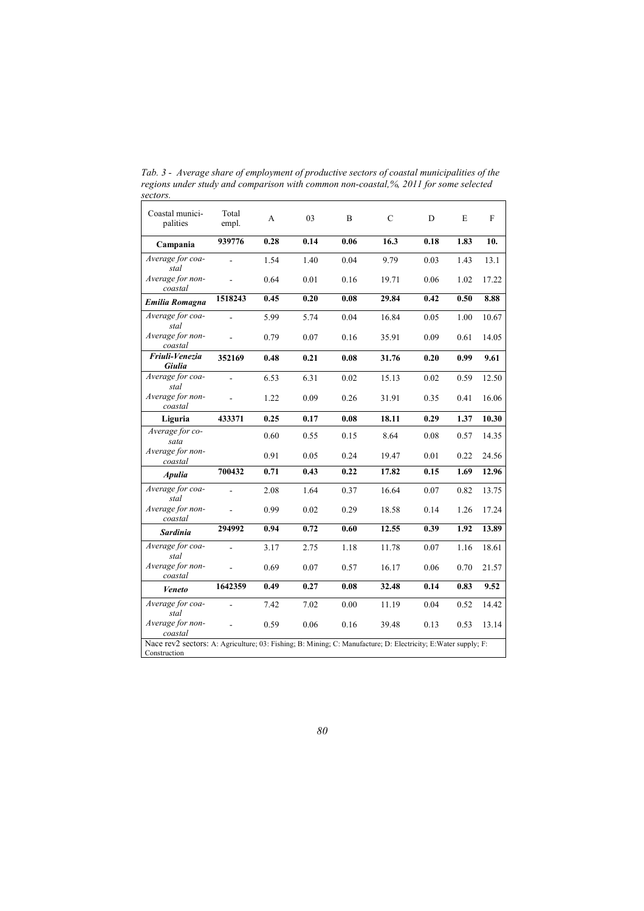| Coastal munici-<br>palities                                                                                                    | Total<br>empl. | A    | 03   | B    | $\mathsf{C}$ | D    | E    | F     |
|--------------------------------------------------------------------------------------------------------------------------------|----------------|------|------|------|--------------|------|------|-------|
| Campania                                                                                                                       | 939776         | 0.28 | 0.14 | 0.06 | 16.3         | 0.18 | 1.83 | 10.   |
| Average for coa-<br>stal                                                                                                       | ÷,             | 1.54 | 1.40 | 0.04 | 9.79         | 0.03 | 1.43 | 13.1  |
| Average for non-<br>coastal                                                                                                    |                | 0.64 | 0.01 | 0.16 | 19.71        | 0.06 | 1.02 | 17.22 |
| <b>Emilia Romagna</b>                                                                                                          | 1518243        | 0.45 | 0.20 | 0.08 | 29.84        | 0.42 | 0.50 | 8.88  |
| Average for coa-<br>stal                                                                                                       |                | 5.99 | 5.74 | 0.04 | 16.84        | 0.05 | 1.00 | 10.67 |
| Average for non-<br>coastal                                                                                                    |                | 0.79 | 0.07 | 0.16 | 35.91        | 0.09 | 0.61 | 14.05 |
| Friuli-Venezia<br>Giulia                                                                                                       | 352169         | 0.48 | 0.21 | 0.08 | 31.76        | 0.20 | 0.99 | 9.61  |
| Average for coa-<br>stal                                                                                                       |                | 6.53 | 6.31 | 0.02 | 15.13        | 0.02 | 0.59 | 12.50 |
| Average for non-<br>coastal                                                                                                    |                | 1.22 | 0.09 | 0.26 | 31.91        | 0.35 | 0.41 | 16.06 |
| Liguria                                                                                                                        | 433371         | 0.25 | 0.17 | 0.08 | 18.11        | 0.29 | 1.37 | 10.30 |
| Average for co-<br>sata                                                                                                        |                | 0.60 | 0.55 | 0.15 | 8.64         | 0.08 | 0.57 | 14.35 |
| Average for non-<br>coastal                                                                                                    |                | 0.91 | 0.05 | 0.24 | 19.47        | 0.01 | 0.22 | 24.56 |
| <b>Apulia</b>                                                                                                                  | 700432         | 0.71 | 0.43 | 0.22 | 17.82        | 0.15 | 1.69 | 12.96 |
| Average for coa-<br>stal                                                                                                       |                | 2.08 | 1.64 | 0.37 | 16.64        | 0.07 | 0.82 | 13.75 |
| Average for non-<br>coastal                                                                                                    |                | 0.99 | 0.02 | 0.29 | 18.58        | 0.14 | 1.26 | 17.24 |
| <b>Sardinia</b>                                                                                                                | 294992         | 0.94 | 0.72 | 0.60 | 12.55        | 0.39 | 1.92 | 13.89 |
| Average for coa-<br>stal                                                                                                       |                | 3.17 | 2.75 | 1.18 | 11.78        | 0.07 | 1.16 | 18.61 |
| Average for non-<br>coastal                                                                                                    |                | 0.69 | 0.07 | 0.57 | 16.17        | 0.06 | 0.70 | 21.57 |
| Veneto                                                                                                                         | 1642359        | 0.49 | 0.27 | 0.08 | 32.48        | 0.14 | 0.83 | 9.52  |
| Average for coa-<br>stal                                                                                                       |                | 7.42 | 7.02 | 0.00 | 11.19        | 0.04 | 0.52 | 14.42 |
| Average for non-<br>coastal                                                                                                    |                | 0.59 | 0.06 | 0.16 | 39.48        | 0.13 | 0.53 | 13.14 |
| Nace rev2 sectors: A: Agriculture; 03: Fishing; B: Mining; C: Manufacture; D: Electricity; E: Water supply; F:<br>Construction |                |      |      |      |              |      |      |       |

*Tab. 3 - Average share of employment of productive sectors of coastal municipalities of the regions under study and comparison with common non-coastal,%, 2011 for some selected sectors.*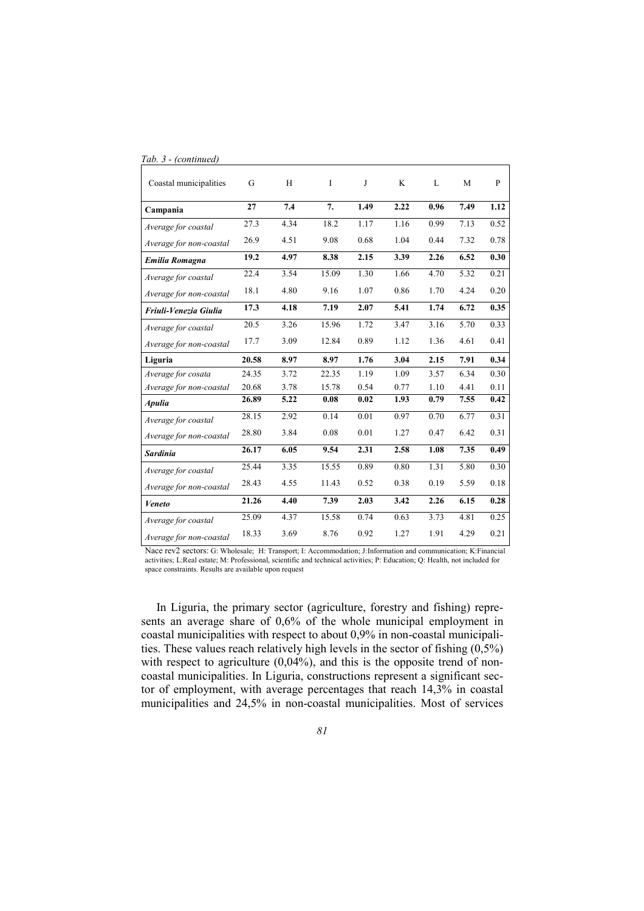| Coastal municipalities  | G     | H    | I     | J    | K    | L    | M    | $\mathbf{P}$ |
|-------------------------|-------|------|-------|------|------|------|------|--------------|
| Campania                | 27    | 7.4  | 7.    | 1.49 | 2.22 | 0.96 | 7.49 | 1.12         |
| Average for coastal     | 27.3  | 4.34 | 18.2  | 1.17 | 1.16 | 0.99 | 7.13 | 0.52         |
| Average for non-coastal | 26.9  | 4.51 | 9.08  | 0.68 | 1.04 | 0.44 | 7.32 | 0.78         |
| <b>Emilia Romagna</b>   | 19.2  | 4.97 | 8.38  | 2.15 | 3.39 | 2.26 | 6.52 | 0.30         |
| Average for coastal     | 22.4  | 3.54 | 15.09 | 1.30 | 1.66 | 4.70 | 5.32 | 0.21         |
| Average for non-coastal | 18.1  | 4.80 | 9.16  | 1.07 | 0.86 | 1.70 | 4.24 | 0.20         |
| Friuli-Venezia Giulia   | 17.3  | 4.18 | 7.19  | 2.07 | 5.41 | 1.74 | 6.72 | 0.35         |
| Average for coastal     | 20.5  | 3.26 | 15.96 | 1.72 | 3.47 | 3.16 | 5.70 | 0.33         |
| Average for non-coastal | 17.7  | 3.09 | 12.84 | 0.89 | 1.12 | 1.36 | 4.61 | 0.41         |
|                         |       |      |       |      |      |      |      | 0.34         |
| Liguria                 | 20.58 | 8.97 | 8.97  | 1.76 | 3.04 | 2.15 | 7.91 |              |
| Average for cosata      | 24.35 | 3.72 | 22.35 | 1.19 | 1.09 | 3.57 | 6.34 | 0.30         |
| Average for non-coastal | 20.68 | 3.78 | 15.78 | 0.54 | 0.77 | 1.10 | 4.41 | 0.11         |
| <b>Apulia</b>           | 26.89 | 5.22 | 0.08  | 0.02 | 1.93 | 0.79 | 7.55 | 0.42         |
| Average for coastal     | 28.15 | 2.92 | 0.14  | 0.01 | 0.97 | 0.70 | 6.77 | 0.31         |
| Average for non-coastal | 28.80 | 3.84 | 0.08  | 0.01 | 1.27 | 0.47 | 6.42 | 0.31         |
| <b>Sardinia</b>         | 26.17 | 6.05 | 9.54  | 2.31 | 2.58 | 1.08 | 7.35 | 0.49         |
| Average for coastal     | 25.44 | 3.35 | 15.55 | 0.89 | 0.80 | 1.31 | 5.80 | 0.30         |
| Average for non-coastal | 28.43 | 4.55 | 11.43 | 0.52 | 0.38 | 0.19 | 5.59 | 0.18         |
| Veneto                  | 21.26 | 4.40 | 7.39  | 2.03 | 3.42 | 2.26 | 6.15 | 0.28         |
| Average for coastal     | 25.09 | 4.37 | 15.58 | 0.74 | 0.63 | 3.73 | 4.81 | 0.25         |

*Tab. 3 - (continued)* 

Nace rev2 sectors: G: Wholesale; H: Transport; I: Accommodation; J:Information and communication; K:Financial activities; L:Real estate; M: Professional, scientific and technical activities; P: Education; Q: Health, not included for space constraints. Results are available upon request

In Liguria, the primary sector (agriculture, forestry and fishing) represents an average share of 0,6% of the whole municipal employment in coastal municipalities with respect to about 0,9% in non-coastal municipalities. These values reach relatively high levels in the sector of fishing  $(0,5\%)$ with respect to agriculture (0,04%), and this is the opposite trend of noncoastal municipalities. In Liguria, constructions represent a significant sector of employment, with average percentages that reach 14,3% in coastal municipalities and 24,5% in non-coastal municipalities. Most of services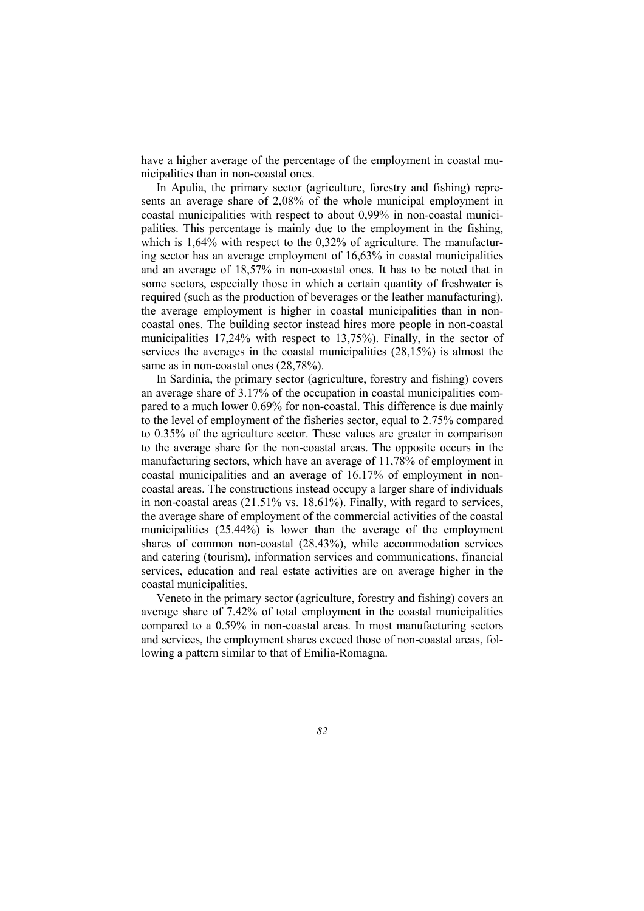have a higher average of the percentage of the employment in coastal municipalities than in non-coastal ones.

In Apulia, the primary sector (agriculture, forestry and fishing) represents an average share of 2,08% of the whole municipal employment in coastal municipalities with respect to about 0,99% in non-coastal municipalities. This percentage is mainly due to the employment in the fishing, which is 1,64% with respect to the 0,32% of agriculture. The manufacturing sector has an average employment of 16,63% in coastal municipalities and an average of 18,57% in non-coastal ones. It has to be noted that in some sectors, especially those in which a certain quantity of freshwater is required (such as the production of beverages or the leather manufacturing), the average employment is higher in coastal municipalities than in noncoastal ones. The building sector instead hires more people in non-coastal municipalities 17,24% with respect to 13,75%). Finally, in the sector of services the averages in the coastal municipalities (28,15%) is almost the same as in non-coastal ones (28,78%).

In Sardinia, the primary sector (agriculture, forestry and fishing) covers an average share of 3.17% of the occupation in coastal municipalities compared to a much lower 0.69% for non-coastal. This difference is due mainly to the level of employment of the fisheries sector, equal to 2.75% compared to 0.35% of the agriculture sector. These values are greater in comparison to the average share for the non-coastal areas. The opposite occurs in the manufacturing sectors, which have an average of 11,78% of employment in coastal municipalities and an average of 16.17% of employment in noncoastal areas. The constructions instead occupy a larger share of individuals in non-coastal areas (21.51% vs. 18.61%). Finally, with regard to services, the average share of employment of the commercial activities of the coastal municipalities (25.44%) is lower than the average of the employment shares of common non-coastal (28.43%), while accommodation services and catering (tourism), information services and communications, financial services, education and real estate activities are on average higher in the coastal municipalities.

Veneto in the primary sector (agriculture, forestry and fishing) covers an average share of 7.42% of total employment in the coastal municipalities compared to a 0.59% in non-coastal areas. In most manufacturing sectors and services, the employment shares exceed those of non-coastal areas, following a pattern similar to that of Emilia-Romagna.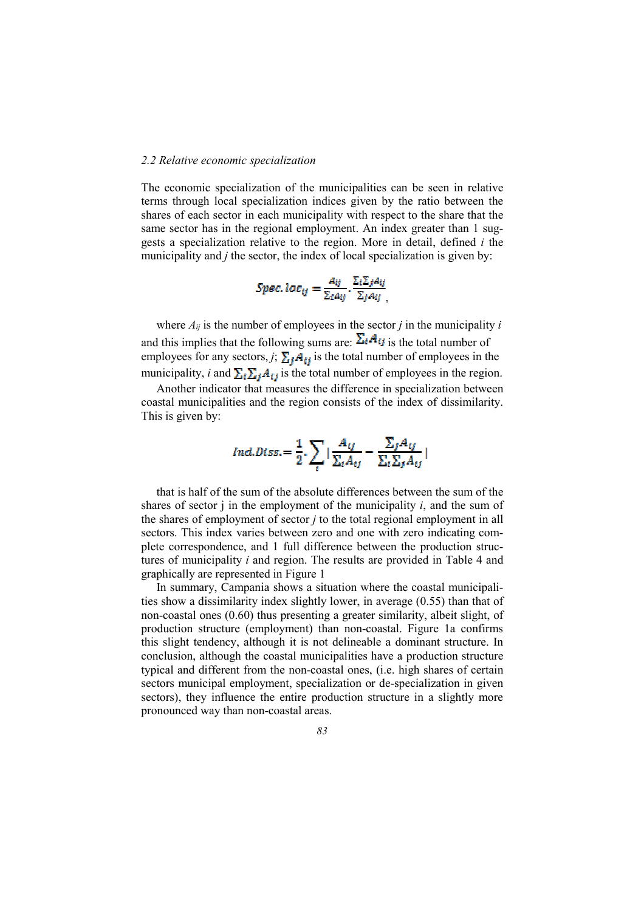#### *2.2 Relative economic specialization*

The economic specialization of the municipalities can be seen in relative terms through local specialization indices given by the ratio between the shares of each sector in each municipality with respect to the share that the same sector has in the regional employment. An index greater than 1 suggests a specialization relative to the region. More in detail, defined *i* the municipality and *j* the sector, the index of local specialization is given by:

$$
Spec. loc_{ij} = \frac{A_{ij}}{\Sigma_i A_{ij}} \cdot \frac{\Sigma_i \Sigma_j A_{ij}}{\Sigma_j A_{ij}},
$$

where  $A_{ij}$  is the number of employees in the sector *j* in the municipality *i* and this implies that the following sums are:  $\Sigma_i A_{ij}$  is the total number of employees for any sectors, *j*;  $\sum_i \tilde{A}_{ij}$  is the total number of employees in the municipality, *i* and  $\sum_i \sum_j A_{ij}$  is the total number of employees in the region.

Another indicator that measures the difference in specialization between coastal municipalities and the region consists of the index of dissimilarity. This is given by:

$$
Ind.Diss = \frac{1}{2} \cdot \sum_{i} |\frac{A_{ij}}{\sum_{i} A_{ij}} - \frac{\sum_{j} A_{ij}}{\sum_{i} \sum_{j} A_{ij}}|
$$

that is half of the sum of the absolute differences between the sum of the shares of sector  $\mathbf i$  in the employment of the municipality  $\mathbf i$ , and the sum of the shares of employment of sector *j* to the total regional employment in all sectors. This index varies between zero and one with zero indicating complete correspondence, and 1 full difference between the production structures of municipality *i* and region. The results are provided in Table 4 and graphically are represented in Figure 1

In summary, Campania shows a situation where the coastal municipalities show a dissimilarity index slightly lower, in average (0.55) than that of non-coastal ones (0.60) thus presenting a greater similarity, albeit slight, of production structure (employment) than non-coastal. Figure 1a confirms this slight tendency, although it is not delineable a dominant structure. In conclusion, although the coastal municipalities have a production structure typical and different from the non-coastal ones, (i.e. high shares of certain sectors municipal employment, specialization or de-specialization in given sectors), they influence the entire production structure in a slightly more pronounced way than non-coastal areas.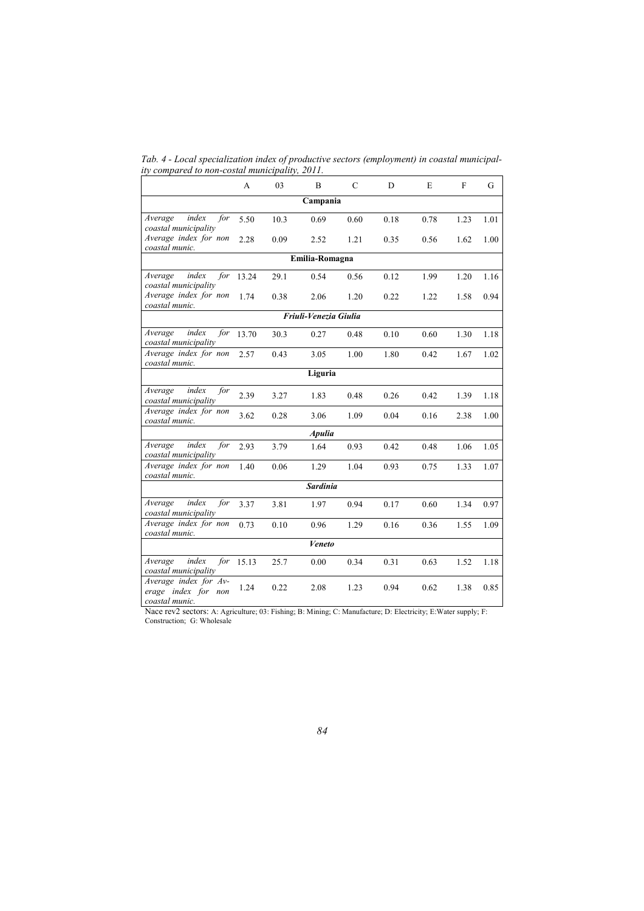*Tab. 4 - Local specialization index of productive sectors (employment) in coastal municipality compared to non-costal municipality, 2011.* 

|                                                                | A     | 03   | B                     | $\mathsf{C}$ | D    | E    | $\mathbf F$ | G    |  |  |
|----------------------------------------------------------------|-------|------|-----------------------|--------------|------|------|-------------|------|--|--|
| Campania                                                       |       |      |                       |              |      |      |             |      |  |  |
| index<br>Average<br>for<br>coastal municipality                | 5.50  | 10.3 | 0.69                  | 0.60         | 0.18 | 0.78 | 1.23        | 1.01 |  |  |
| Average index for non<br>coastal munic.                        | 2.28  | 0.09 | 2.52                  | 1.21         | 0.35 | 0.56 | 1.62        | 1.00 |  |  |
|                                                                |       |      | Emilia-Romagna        |              |      |      |             |      |  |  |
| index<br>for<br>Average<br>coastal municipality                | 13.24 | 29.1 | 0.54                  | 0.56         | 0.12 | 1.99 | 1.20        | 1.16 |  |  |
| Average index for non<br>coastal munic.                        | 1.74  | 0.38 | 2.06                  | 1.20         | 0.22 | 1.22 | 1.58        | 0.94 |  |  |
|                                                                |       |      | Friuli-Venezia Giulia |              |      |      |             |      |  |  |
| index<br>for<br>Average<br>coastal municipality                | 13.70 | 30.3 | 0.27                  | 0.48         | 0.10 | 0.60 | 1.30        | 1.18 |  |  |
| Average index for non<br>coastal munic.                        | 2.57  | 0.43 | 3.05                  | 1.00         | 1.80 | 0.42 | 1.67        | 1.02 |  |  |
|                                                                |       |      | Liguria               |              |      |      |             |      |  |  |
| index<br>for<br>Average<br>coastal municipality                | 2.39  | 3.27 | 1.83                  | 0.48         | 0.26 | 0.42 | 1.39        | 1.18 |  |  |
| Average index for non<br>coastal munic.                        | 3.62  | 0.28 | 3.06                  | 1.09         | 0.04 | 0.16 | 2.38        | 1.00 |  |  |
|                                                                |       |      | <b>Apulia</b>         |              |      |      |             |      |  |  |
| index<br>for<br>Average<br>coastal municipality                | 2.93  | 3.79 | 1.64                  | 0.93         | 0.42 | 0.48 | 1.06        | 1.05 |  |  |
| Average index for non<br>coastal munic.                        | 1.40  | 0.06 | 1.29                  | 1.04         | 0.93 | 0.75 | 1.33        | 1.07 |  |  |
|                                                                |       |      | <b>Sardinia</b>       |              |      |      |             |      |  |  |
| index<br>Average<br>for<br>coastal municipality                | 3.37  | 3.81 | 1.97                  | 0.94         | 0.17 | 0.60 | 1.34        | 0.97 |  |  |
| Average index for non<br>coastal munic.                        | 0.73  | 0.10 | 0.96                  | 1.29         | 0.16 | 0.36 | 1.55        | 1.09 |  |  |
|                                                                |       |      | Veneto                |              |      |      |             |      |  |  |
| index<br>Average<br>for<br>coastal municipality                | 15.13 | 25.7 | 0.00                  | 0.34         | 0.31 | 0.63 | 1.52        | 1.18 |  |  |
| Average index for Av-<br>erage index for non<br>coastal munic. | 1.24  | 0.22 | 2.08                  | 1.23         | 0.94 | 0.62 | 1.38        | 0.85 |  |  |

Nace rev2 sectors: A: Agriculture; 03: Fishing; B: Mining; C: Manufacture; D: Electricity; E:Water supply; F: Construction; G: Wholesale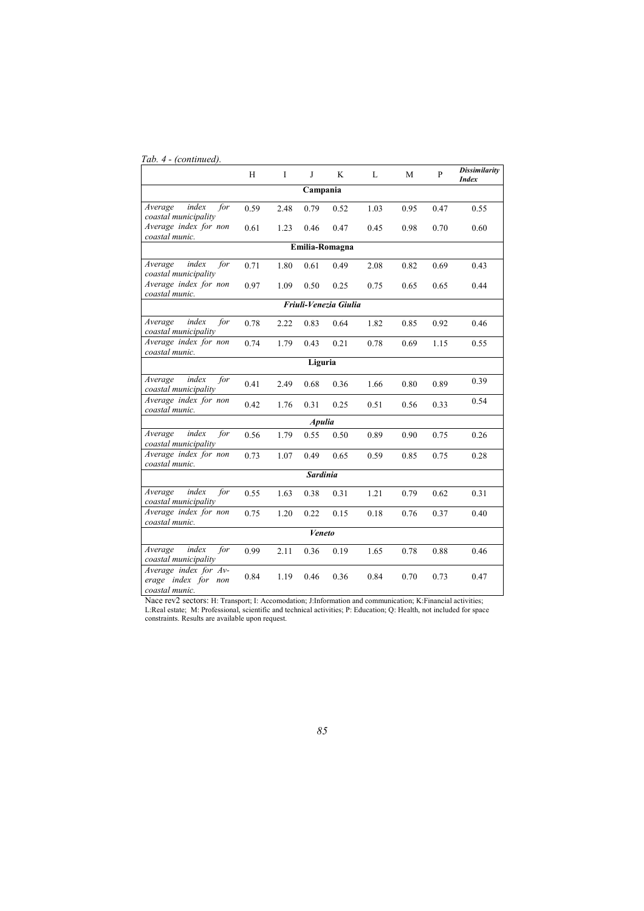## *Tab. 4 - (continued).*

|                                                                | H    | I    | J               | K                     | L    | M    | $\mathbf{P}$ | <b>Dissimilarity</b><br><b>Index</b> |
|----------------------------------------------------------------|------|------|-----------------|-----------------------|------|------|--------------|--------------------------------------|
| Campania                                                       |      |      |                 |                       |      |      |              |                                      |
| index<br>Average<br>for<br>coastal municipality                | 0.59 | 2.48 | 0.79            | 0.52                  | 1.03 | 0.95 | 0.47         | 0.55                                 |
| Average index for non<br>coastal munic.                        | 0.61 | 1.23 | 0.46            | 0.47                  | 0.45 | 0.98 | 0.70         | 0.60                                 |
|                                                                |      |      |                 | Emilia-Romagna        |      |      |              |                                      |
| index<br>for<br>Average<br>coastal municipality                | 0.71 | 1.80 | 0.61            | 0.49                  | 2.08 | 0.82 | 0.69         | 0.43                                 |
| Average index for non<br>coastal munic.                        | 0.97 | 1.09 | 0.50            | 0.25                  | 0.75 | 0.65 | 0.65         | 0.44                                 |
|                                                                |      |      |                 | Friuli-Venezia Giulia |      |      |              |                                      |
| index<br>Average<br>for<br>coastal municipality                | 0.78 | 2.22 | 0.83            | 0.64                  | 1.82 | 0.85 | 0.92         | 0.46                                 |
| Average index for non<br>coastal munic.                        | 0.74 | 1.79 | 0.43            | 0.21                  | 0.78 | 0.69 | 1.15         | 0.55                                 |
|                                                                |      |      | Liguria         |                       |      |      |              |                                      |
| index<br>Average<br>for<br>coastal municipality                | 0.41 | 2.49 | 0.68            | 0.36                  | 1.66 | 0.80 | 0.89         | 0.39                                 |
| Average index for non<br>coastal munic.                        | 0.42 | 1.76 | 0.31            | 0.25                  | 0.51 | 0.56 | 0.33         | 0.54                                 |
|                                                                |      |      | <b>Apulia</b>   |                       |      |      |              |                                      |
| index<br>Average<br>for<br>coastal municipality                | 0.56 | 1.79 | 0.55            | 0.50                  | 0.89 | 0.90 | 0.75         | 0.26                                 |
| Average index for non<br>coastal munic.                        | 0.73 | 1.07 | 0.49            | 0.65                  | 0.59 | 0.85 | 0.75         | 0.28                                 |
|                                                                |      |      | <b>Sardinia</b> |                       |      |      |              |                                      |
| index<br>for<br>Average<br>coastal municipality                | 0.55 | 1.63 | 0.38            | 0.31                  | 1.21 | 0.79 | 0.62         | 0.31                                 |
| Average index for non<br>coastal munic.                        | 0.75 | 1.20 | 0.22            | 0.15                  | 0.18 | 0.76 | 0.37         | 0.40                                 |
|                                                                |      |      | Veneto          |                       |      |      |              |                                      |
| index<br>Average<br>for<br>coastal municipality                | 0.99 | 2.11 | 0.36            | 0.19                  | 1.65 | 0.78 | 0.88         | 0.46                                 |
| Average index for Av-<br>erage index for non<br>coastal munic. | 0.84 | 1.19 | 0.46            | 0.36                  | 0.84 | 0.70 | 0.73         | 0.47                                 |

Nace rev2 sectors: H: Transport; I: Accomodation; J:Information and communication; K:Financial activities; L:Real estate; M: Professional, scientific and technical activities; P: Education; Q: Health, not included for space constraints. Results are available upon request.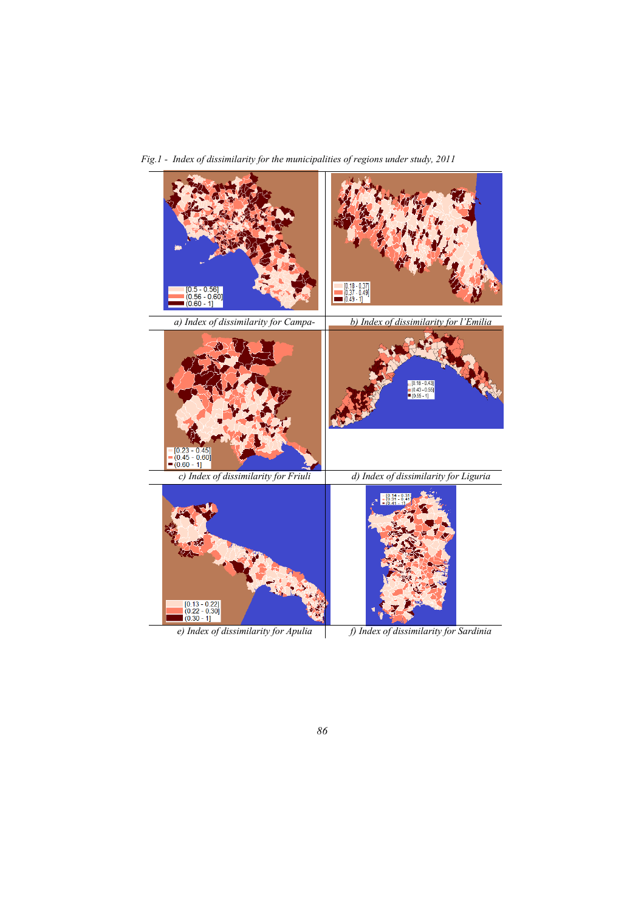į  $[0.18 - 0.37]$ <br> $(0.37 - 0.49)$ <br> $(0.49 - 1]$  $[0.5 - 0.56]$  $(0.56 - 0.60)$ <br>(0.60 - 1] *a) Index of dissimilarity for Campab) Index of dissimilarity for l'Emilia nia Romagna*  $\begin{array}{l} \hline 0.18 - 0.43 \\ \hline 0.43 - 0.55 \\ \hline 0.55 - 1] \end{array}$  $= [0.23 - 0.45]$ <br> $= (0.45 - 0.60]$ <br> $= (0.60 - 1]$ *c) Index of dissimilarity for Friuli d) Index of dissimilarity for Liguria*   $231$  $\begin{array}{c} [0.13 - 0.22] \\ (0.22 - 0.30] \\ (0.30 - 1] \end{array}$ *e)* Index of dissimilarity for Apulia fightlands f) Index of dissimilarity for Sardinia

*Fig.1 - Index of dissimilarity for the municipalities of regions under study, 2011* 

*86*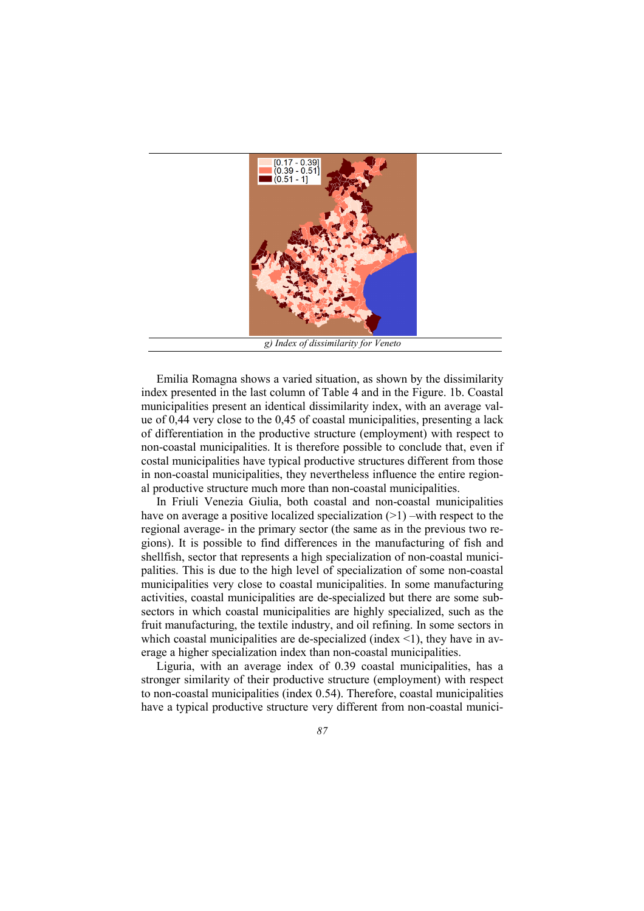

Emilia Romagna shows a varied situation, as shown by the dissimilarity index presented in the last column of Table 4 and in the Figure. 1b. Coastal municipalities present an identical dissimilarity index, with an average value of 0,44 very close to the 0,45 of coastal municipalities, presenting a lack of differentiation in the productive structure (employment) with respect to non-coastal municipalities. It is therefore possible to conclude that, even if costal municipalities have typical productive structures different from those in non-coastal municipalities, they nevertheless influence the entire regional productive structure much more than non-coastal municipalities.

In Friuli Venezia Giulia, both coastal and non-coastal municipalities have on average a positive localized specialization  $(>1)$  –with respect to the regional average- in the primary sector (the same as in the previous two regions). It is possible to find differences in the manufacturing of fish and shellfish, sector that represents a high specialization of non-coastal municipalities. This is due to the high level of specialization of some non-coastal municipalities very close to coastal municipalities. In some manufacturing activities, coastal municipalities are de-specialized but there are some subsectors in which coastal municipalities are highly specialized, such as the fruit manufacturing, the textile industry, and oil refining. In some sectors in which coastal municipalities are de-specialized (index  $\leq$ 1), they have in average a higher specialization index than non-coastal municipalities.

Liguria, with an average index of 0.39 coastal municipalities, has a stronger similarity of their productive structure (employment) with respect to non-coastal municipalities (index 0.54). Therefore, coastal municipalities have a typical productive structure very different from non-coastal munici-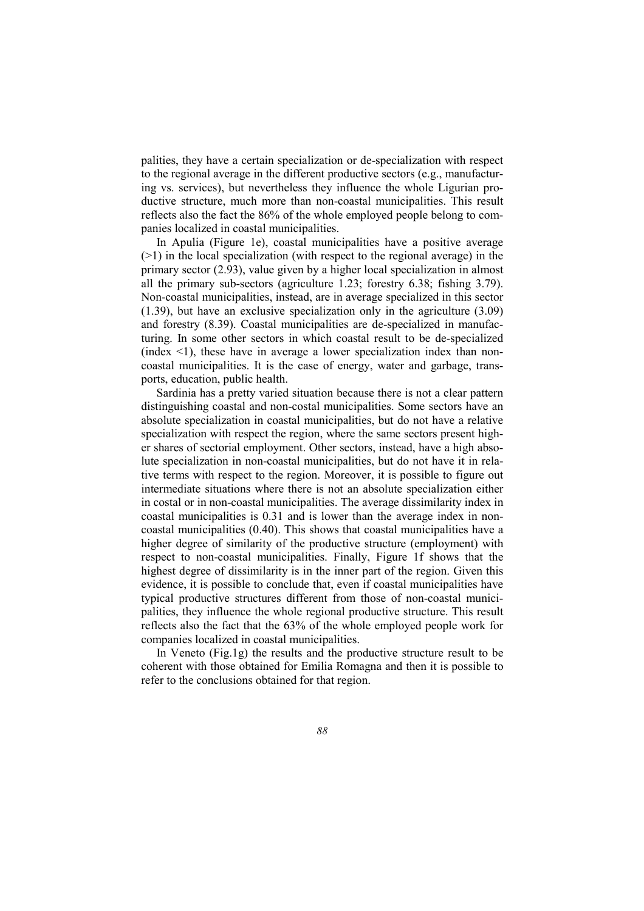palities, they have a certain specialization or de-specialization with respect to the regional average in the different productive sectors (e.g., manufacturing vs. services), but nevertheless they influence the whole Ligurian productive structure, much more than non-coastal municipalities. This result reflects also the fact the 86% of the whole employed people belong to companies localized in coastal municipalities.

In Apulia (Figure 1e), coastal municipalities have a positive average  $(>1)$  in the local specialization (with respect to the regional average) in the primary sector (2.93), value given by a higher local specialization in almost all the primary sub-sectors (agriculture 1.23; forestry 6.38; fishing 3.79). Non-coastal municipalities, instead, are in average specialized in this sector (1.39), but have an exclusive specialization only in the agriculture (3.09) and forestry (8.39). Coastal municipalities are de-specialized in manufacturing. In some other sectors in which coastal result to be de-specialized  $(index < 1)$ , these have in average a lower specialization index than noncoastal municipalities. It is the case of energy, water and garbage, transports, education, public health.

Sardinia has a pretty varied situation because there is not a clear pattern distinguishing coastal and non-costal municipalities. Some sectors have an absolute specialization in coastal municipalities, but do not have a relative specialization with respect the region, where the same sectors present higher shares of sectorial employment. Other sectors, instead, have a high absolute specialization in non-coastal municipalities, but do not have it in relative terms with respect to the region. Moreover, it is possible to figure out intermediate situations where there is not an absolute specialization either in costal or in non-coastal municipalities. The average dissimilarity index in coastal municipalities is 0.31 and is lower than the average index in noncoastal municipalities (0.40). This shows that coastal municipalities have a higher degree of similarity of the productive structure (employment) with respect to non-coastal municipalities. Finally, Figure 1f shows that the highest degree of dissimilarity is in the inner part of the region. Given this evidence, it is possible to conclude that, even if coastal municipalities have typical productive structures different from those of non-coastal municipalities, they influence the whole regional productive structure. This result reflects also the fact that the 63% of the whole employed people work for companies localized in coastal municipalities.

In Veneto (Fig.1g) the results and the productive structure result to be coherent with those obtained for Emilia Romagna and then it is possible to refer to the conclusions obtained for that region.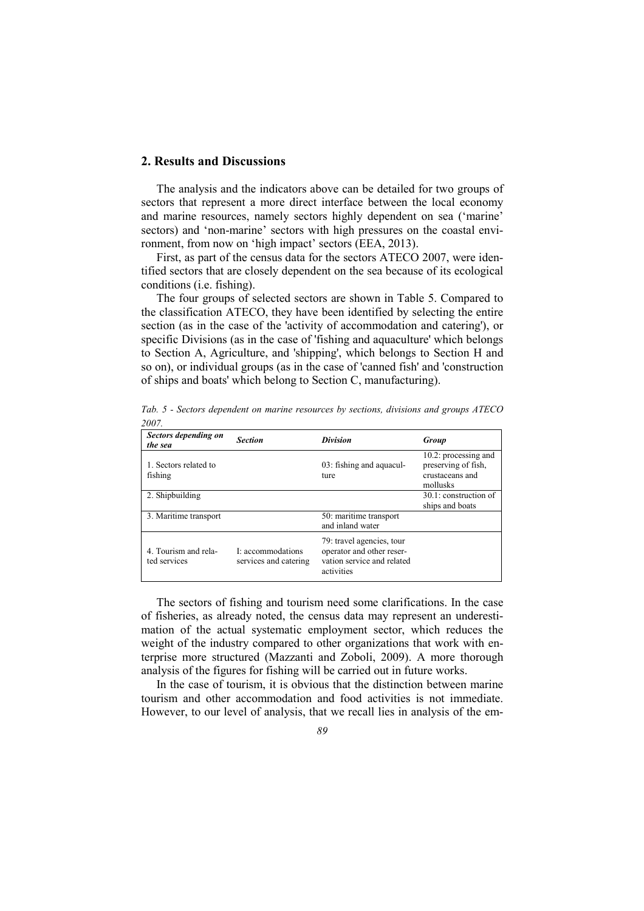## **2. Results and Discussions**

The analysis and the indicators above can be detailed for two groups of sectors that represent a more direct interface between the local economy and marine resources, namely sectors highly dependent on sea ('marine' sectors) and 'non-marine' sectors with high pressures on the coastal environment, from now on 'high impact' sectors (EEA, 2013).

First, as part of the census data for the sectors ATECO 2007, were identified sectors that are closely dependent on the sea because of its ecological conditions (i.e. fishing).

The four groups of selected sectors are shown in Table 5. Compared to the classification ATECO, they have been identified by selecting the entire section (as in the case of the 'activity of accommodation and catering'), or specific Divisions (as in the case of 'fishing and aquaculture' which belongs to Section A, Agriculture, and 'shipping', which belongs to Section H and so on), or individual groups (as in the case of 'canned fish' and 'construction of ships and boats' which belong to Section C, manufacturing).

| Sectors depending on<br>the sea      | <b>Section</b>                             | <b>Division</b>                                                                                    | Group                                                                      |
|--------------------------------------|--------------------------------------------|----------------------------------------------------------------------------------------------------|----------------------------------------------------------------------------|
| 1. Sectors related to<br>fishing     |                                            | 03: fishing and aquacul-<br>ture                                                                   | 10.2: processing and<br>preserving of fish,<br>crustaceans and<br>mollusks |
| 2. Shipbuilding                      |                                            |                                                                                                    | 30.1: construction of<br>ships and boats                                   |
| 3. Maritime transport                |                                            | 50: maritime transport<br>and inland water                                                         |                                                                            |
| 4. Tourism and rela-<br>ted services | I: accommodations<br>services and catering | 79: travel agencies, tour<br>operator and other reser-<br>vation service and related<br>activities |                                                                            |

*Tab. 5 - Sectors dependent on marine resources by sections, divisions and groups ATECO 2007.* 

The sectors of fishing and tourism need some clarifications. In the case of fisheries, as already noted, the census data may represent an underestimation of the actual systematic employment sector, which reduces the weight of the industry compared to other organizations that work with enterprise more structured (Mazzanti and Zoboli, 2009). A more thorough analysis of the figures for fishing will be carried out in future works.

In the case of tourism, it is obvious that the distinction between marine tourism and other accommodation and food activities is not immediate. However, to our level of analysis, that we recall lies in analysis of the em-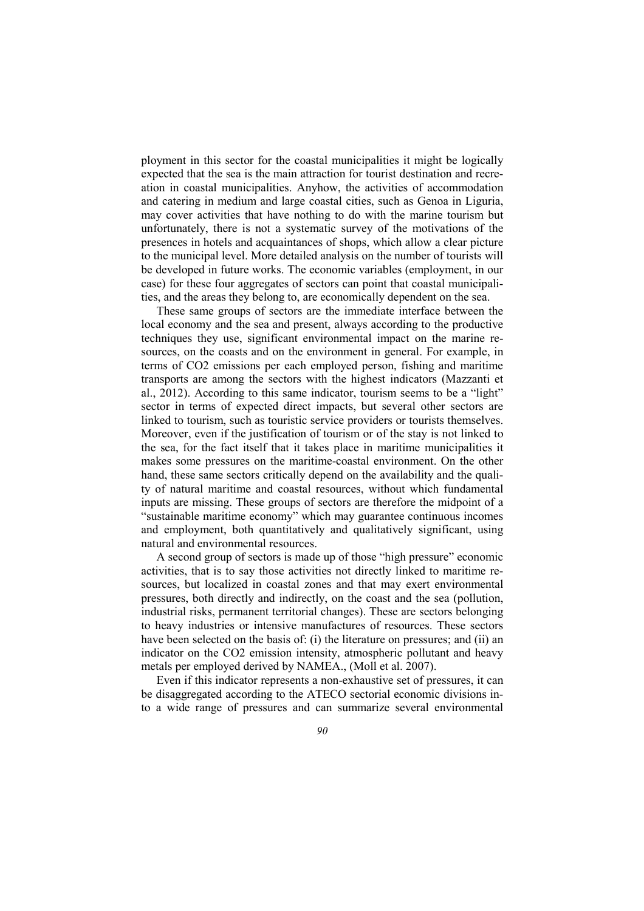ployment in this sector for the coastal municipalities it might be logically expected that the sea is the main attraction for tourist destination and recreation in coastal municipalities. Anyhow, the activities of accommodation and catering in medium and large coastal cities, such as Genoa in Liguria, may cover activities that have nothing to do with the marine tourism but unfortunately, there is not a systematic survey of the motivations of the presences in hotels and acquaintances of shops, which allow a clear picture to the municipal level. More detailed analysis on the number of tourists will be developed in future works. The economic variables (employment, in our case) for these four aggregates of sectors can point that coastal municipalities, and the areas they belong to, are economically dependent on the sea.

These same groups of sectors are the immediate interface between the local economy and the sea and present, always according to the productive techniques they use, significant environmental impact on the marine resources, on the coasts and on the environment in general. For example, in terms of CO2 emissions per each employed person, fishing and maritime transports are among the sectors with the highest indicators (Mazzanti et al., 2012). According to this same indicator, tourism seems to be a "light" sector in terms of expected direct impacts, but several other sectors are linked to tourism, such as touristic service providers or tourists themselves. Moreover, even if the justification of tourism or of the stay is not linked to the sea, for the fact itself that it takes place in maritime municipalities it makes some pressures on the maritime-coastal environment. On the other hand, these same sectors critically depend on the availability and the quality of natural maritime and coastal resources, without which fundamental inputs are missing. These groups of sectors are therefore the midpoint of a "sustainable maritime economy" which may guarantee continuous incomes and employment, both quantitatively and qualitatively significant, using natural and environmental resources.

A second group of sectors is made up of those "high pressure" economic activities, that is to say those activities not directly linked to maritime resources, but localized in coastal zones and that may exert environmental pressures, both directly and indirectly, on the coast and the sea (pollution, industrial risks, permanent territorial changes). These are sectors belonging to heavy industries or intensive manufactures of resources. These sectors have been selected on the basis of: (i) the literature on pressures; and (ii) an indicator on the CO2 emission intensity, atmospheric pollutant and heavy metals per employed derived by NAMEA., (Moll et al. 2007).

Even if this indicator represents a non-exhaustive set of pressures, it can be disaggregated according to the ATECO sectorial economic divisions into a wide range of pressures and can summarize several environmental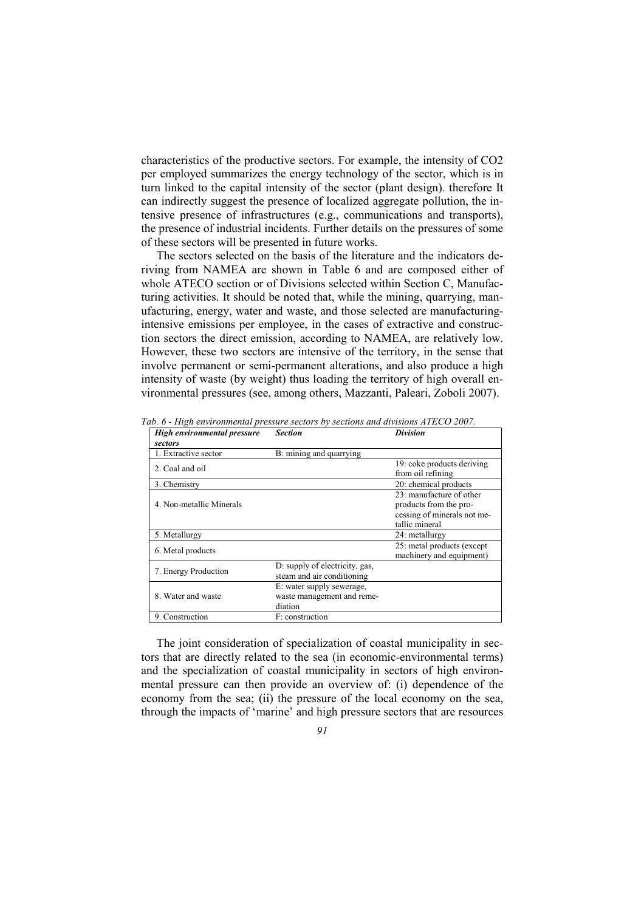characteristics of the productive sectors. For example, the intensity of CO2 per employed summarizes the energy technology of the sector, which is in turn linked to the capital intensity of the sector (plant design). therefore It can indirectly suggest the presence of localized aggregate pollution, the intensive presence of infrastructures (e.g., communications and transports), the presence of industrial incidents. Further details on the pressures of some of these sectors will be presented in future works.

The sectors selected on the basis of the literature and the indicators deriving from NAMEA are shown in Table 6 and are composed either of whole ATECO section or of Divisions selected within Section C, Manufacturing activities. It should be noted that, while the mining, quarrying, manufacturing, energy, water and waste, and those selected are manufacturingintensive emissions per employee, in the cases of extractive and construction sectors the direct emission, according to NAMEA, are relatively low. However, these two sectors are intensive of the territory, in the sense that involve permanent or semi-permanent alterations, and also produce a high intensity of waste (by weight) thus loading the territory of high overall environmental pressures (see, among others, Mazzanti, Paleari, Zoboli 2007).

| High environmental pressure | Section                        | <b>Division</b>                                 |
|-----------------------------|--------------------------------|-------------------------------------------------|
| sectors                     |                                |                                                 |
| 1. Extractive sector        | B: mining and quarrying        |                                                 |
| 2. Coal and oil             |                                | 19: coke products deriving<br>from oil refining |
| 3. Chemistry                |                                | 20: chemical products                           |
|                             |                                | 23: manufacture of other                        |
| 4. Non-metallic Minerals    |                                | products from the pro-                          |
|                             |                                | cessing of minerals not me-                     |
|                             |                                | tallic mineral                                  |
| 5. Metallurgy               |                                | 24: metallurgy                                  |
| 6. Metal products           |                                | 25: metal products (except                      |
|                             |                                | machinery and equipment)                        |
| 7. Energy Production        | D: supply of electricity, gas, |                                                 |
|                             | steam and air conditioning     |                                                 |
|                             | E: water supply sewerage,      |                                                 |
| 8. Water and waste          | waste management and reme-     |                                                 |
|                             | diation                        |                                                 |
| 9. Construction             | F: construction                |                                                 |

*Tab. 6 - High environmental pressure sectors by sections and divisions ATECO 2007.* 

The joint consideration of specialization of coastal municipality in sectors that are directly related to the sea (in economic-environmental terms) and the specialization of coastal municipality in sectors of high environmental pressure can then provide an overview of: (i) dependence of the economy from the sea; (ii) the pressure of the local economy on the sea, through the impacts of 'marine' and high pressure sectors that are resources

*91*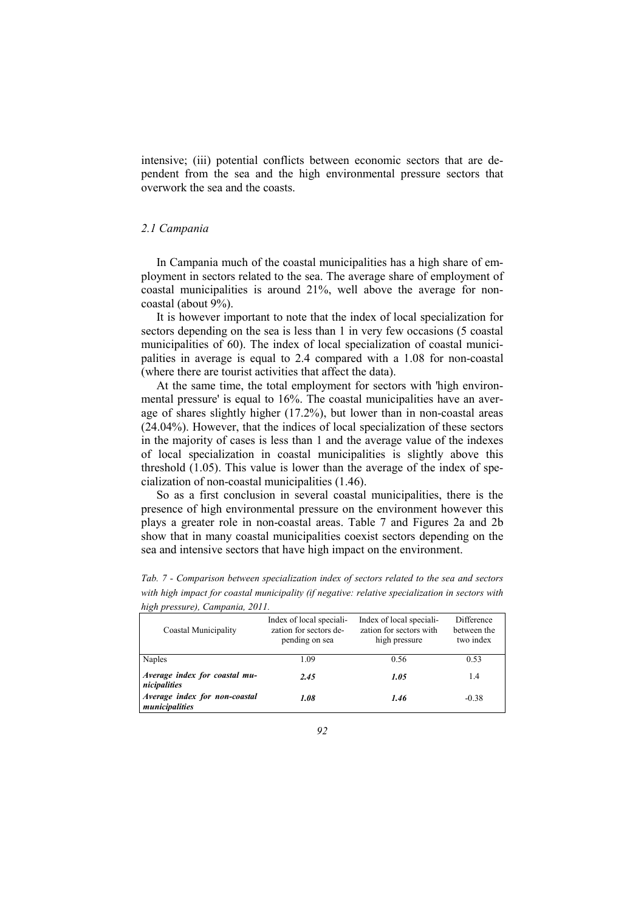intensive; (iii) potential conflicts between economic sectors that are dependent from the sea and the high environmental pressure sectors that overwork the sea and the coasts.

#### *2.1 Campania*

In Campania much of the coastal municipalities has a high share of employment in sectors related to the sea. The average share of employment of coastal municipalities is around 21%, well above the average for noncoastal (about 9%).

It is however important to note that the index of local specialization for sectors depending on the sea is less than 1 in very few occasions (5 coastal municipalities of 60). The index of local specialization of coastal municipalities in average is equal to 2.4 compared with a 1.08 for non-coastal (where there are tourist activities that affect the data).

At the same time, the total employment for sectors with 'high environmental pressure' is equal to 16%. The coastal municipalities have an average of shares slightly higher (17.2%), but lower than in non-coastal areas (24.04%). However, that the indices of local specialization of these sectors in the majority of cases is less than 1 and the average value of the indexes of local specialization in coastal municipalities is slightly above this threshold (1.05). This value is lower than the average of the index of specialization of non-coastal municipalities (1.46).

So as a first conclusion in several coastal municipalities, there is the presence of high environmental pressure on the environment however this plays a greater role in non-coastal areas. Table 7 and Figures 2a and 2b show that in many coastal municipalities coexist sectors depending on the sea and intensive sectors that have high impact on the environment.

| Coastal Municipality                            | Index of local speciali-<br>zation for sectors de-<br>pending on sea | Index of local speciali-<br>zation for sectors with<br>high pressure | <b>Difference</b><br>between the<br>two index |
|-------------------------------------------------|----------------------------------------------------------------------|----------------------------------------------------------------------|-----------------------------------------------|
| Naples                                          | 1.09                                                                 | 0.56                                                                 | 0.53                                          |
| Average index for coastal mu-<br>nicipalities   | 2.45                                                                 | 1.05                                                                 | 1.4                                           |
| Average index for non-coastal<br>municipalities | 1.08                                                                 | 1.46                                                                 | $-0.38$                                       |

*Tab. 7 - Comparison between specialization index of sectors related to the sea and sectors with high impact for coastal municipality (if negative: relative specialization in sectors with high pressure), Campania, 2011.*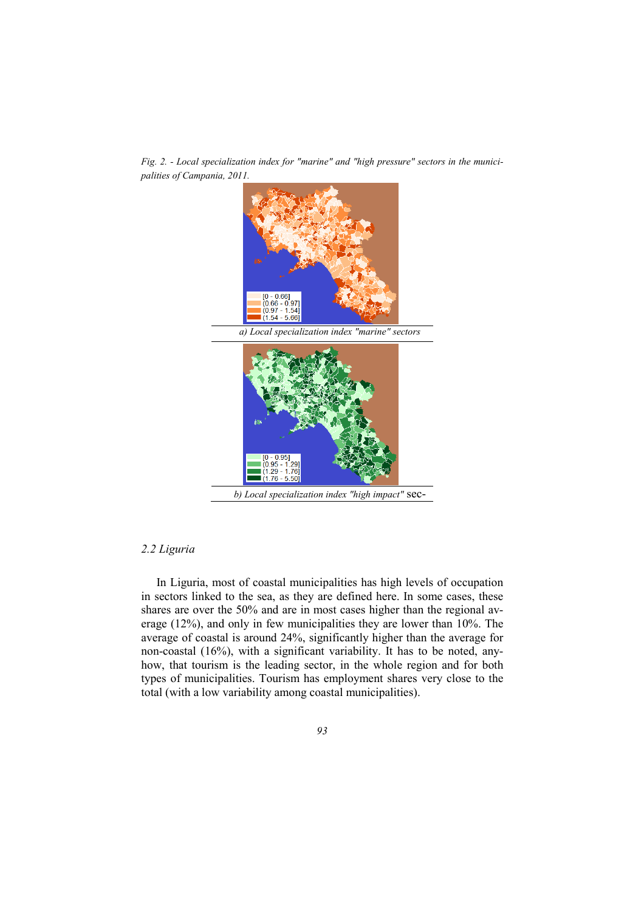

*Fig. 2. - Local specialization index for "marine" and "high pressure" sectors in the municipalities of Campania, 2011.* 

## *2.2 Liguria*

In Liguria, most of coastal municipalities has high levels of occupation in sectors linked to the sea, as they are defined here. In some cases, these shares are over the 50% and are in most cases higher than the regional average (12%), and only in few municipalities they are lower than 10%. The average of coastal is around 24%, significantly higher than the average for non-coastal (16%), with a significant variability. It has to be noted, anyhow, that tourism is the leading sector, in the whole region and for both types of municipalities. Tourism has employment shares very close to the total (with a low variability among coastal municipalities).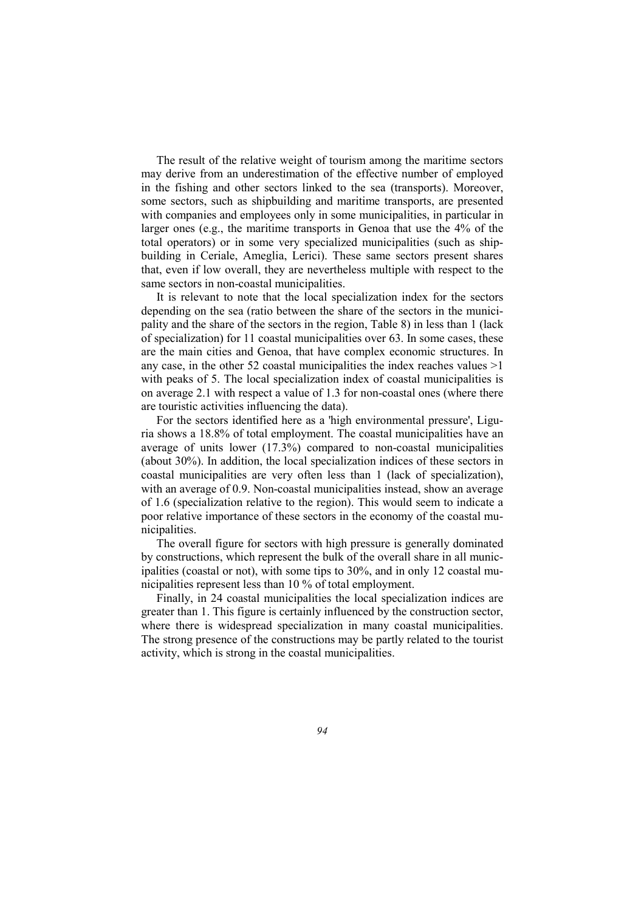The result of the relative weight of tourism among the maritime sectors may derive from an underestimation of the effective number of employed in the fishing and other sectors linked to the sea (transports). Moreover, some sectors, such as shipbuilding and maritime transports, are presented with companies and employees only in some municipalities, in particular in larger ones (e.g., the maritime transports in Genoa that use the 4% of the total operators) or in some very specialized municipalities (such as shipbuilding in Ceriale, Ameglia, Lerici). These same sectors present shares that, even if low overall, they are nevertheless multiple with respect to the same sectors in non-coastal municipalities.

It is relevant to note that the local specialization index for the sectors depending on the sea (ratio between the share of the sectors in the municipality and the share of the sectors in the region, Table 8) in less than 1 (lack of specialization) for 11 coastal municipalities over 63. In some cases, these are the main cities and Genoa, that have complex economic structures. In any case, in the other 52 coastal municipalities the index reaches values  $>1$ with peaks of 5. The local specialization index of coastal municipalities is on average 2.1 with respect a value of 1.3 for non-coastal ones (where there are touristic activities influencing the data).

For the sectors identified here as a 'high environmental pressure', Liguria shows a 18.8% of total employment. The coastal municipalities have an average of units lower (17.3%) compared to non-coastal municipalities (about 30%). In addition, the local specialization indices of these sectors in coastal municipalities are very often less than 1 (lack of specialization), with an average of 0.9. Non-coastal municipalities instead, show an average of 1.6 (specialization relative to the region). This would seem to indicate a poor relative importance of these sectors in the economy of the coastal municipalities.

The overall figure for sectors with high pressure is generally dominated by constructions, which represent the bulk of the overall share in all municipalities (coastal or not), with some tips to 30%, and in only 12 coastal municipalities represent less than 10 % of total employment.

Finally, in 24 coastal municipalities the local specialization indices are greater than 1. This figure is certainly influenced by the construction sector, where there is widespread specialization in many coastal municipalities. The strong presence of the constructions may be partly related to the tourist activity, which is strong in the coastal municipalities.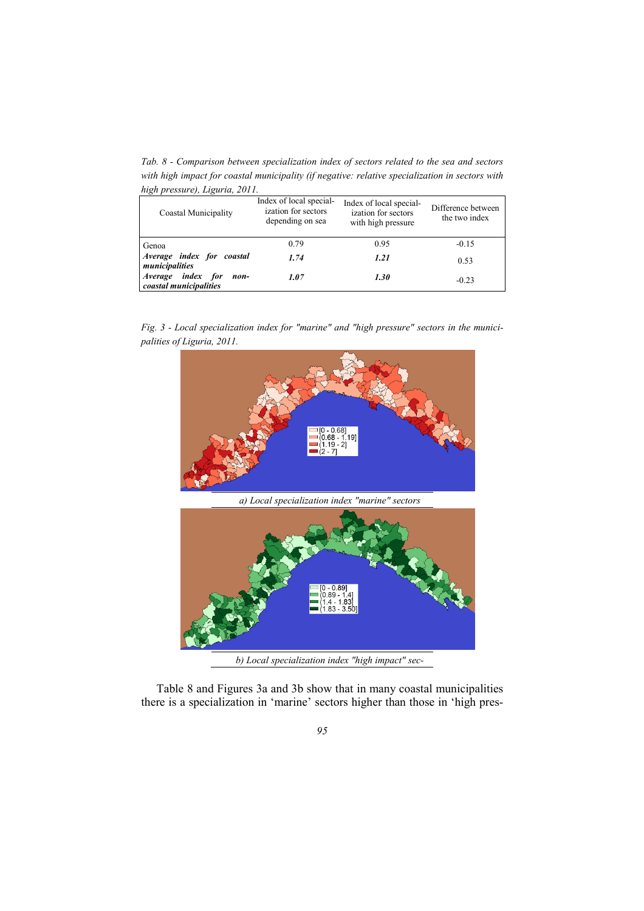*Tab. 8 - Comparison between specialization index of sectors related to the sea and sectors with high impact for coastal municipality (if negative: relative specialization in sectors with high pressure), Liguria, 2011.* 

| Coastal Municipality                                   | Index of local special-<br>ization for sectors<br>depending on sea | Index of local special-<br>ization for sectors<br>with high pressure | Difference between<br>the two index |
|--------------------------------------------------------|--------------------------------------------------------------------|----------------------------------------------------------------------|-------------------------------------|
| Genoa                                                  | 0.79                                                               | 0.95                                                                 | $-0.15$                             |
| Average index for coastal<br>municipalities            | 1.74                                                               | 1.21                                                                 | 0.53                                |
| index for<br>Average<br>non-<br>coastal municipalities | 1.07                                                               | 1.30                                                                 | $-0.23$                             |

*Fig. 3 - Local specialization index for "marine" and "high pressure" sectors in the municipalities of Liguria, 2011.* 



*a) Local specialization index "marine" sectors* 



Table 8 and Figures 3a and 3b show that in many coastal municipalities there is a specialization in 'marine' sectors higher than those in 'high pres-

*95*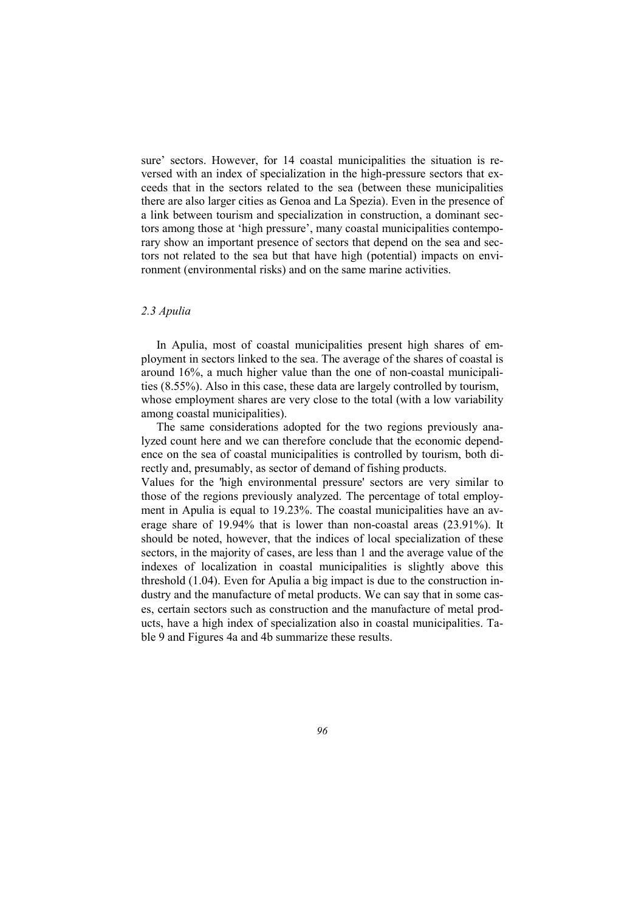sure' sectors. However, for 14 coastal municipalities the situation is reversed with an index of specialization in the high-pressure sectors that exceeds that in the sectors related to the sea (between these municipalities there are also larger cities as Genoa and La Spezia). Even in the presence of a link between tourism and specialization in construction, a dominant sectors among those at 'high pressure', many coastal municipalities contemporary show an important presence of sectors that depend on the sea and sectors not related to the sea but that have high (potential) impacts on environment (environmental risks) and on the same marine activities.

## *2.3 Apulia*

In Apulia, most of coastal municipalities present high shares of employment in sectors linked to the sea. The average of the shares of coastal is around 16%, a much higher value than the one of non-coastal municipalities (8.55%). Also in this case, these data are largely controlled by tourism, whose employment shares are very close to the total (with a low variability among coastal municipalities).

The same considerations adopted for the two regions previously analyzed count here and we can therefore conclude that the economic dependence on the sea of coastal municipalities is controlled by tourism, both directly and, presumably, as sector of demand of fishing products.

Values for the 'high environmental pressure' sectors are very similar to those of the regions previously analyzed. The percentage of total employment in Apulia is equal to 19.23%. The coastal municipalities have an average share of 19.94% that is lower than non-coastal areas (23.91%). It should be noted, however, that the indices of local specialization of these sectors, in the majority of cases, are less than 1 and the average value of the indexes of localization in coastal municipalities is slightly above this threshold (1.04). Even for Apulia a big impact is due to the construction industry and the manufacture of metal products. We can say that in some cases, certain sectors such as construction and the manufacture of metal products, have a high index of specialization also in coastal municipalities. Table 9 and Figures 4a and 4b summarize these results.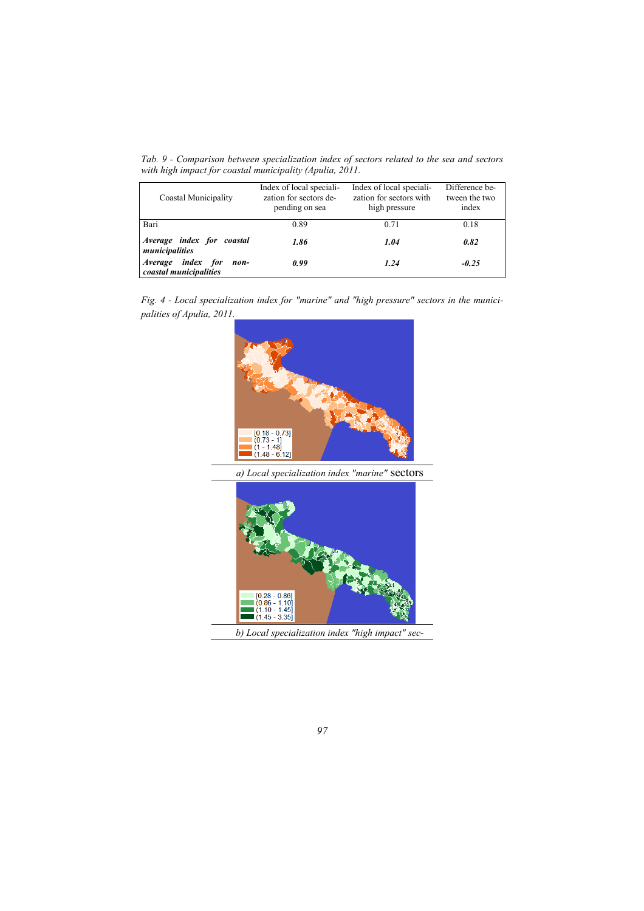*Tab. 9 - Comparison between specialization index of sectors related to the sea and sectors with high impact for coastal municipality (Apulia, 2011.* 

| Coastal Municipality                                | Index of local speciali-<br>zation for sectors de-<br>pending on sea | Index of local speciali-<br>zation for sectors with<br>high pressure | Difference be-<br>tween the two<br>index |
|-----------------------------------------------------|----------------------------------------------------------------------|----------------------------------------------------------------------|------------------------------------------|
| Bari                                                | 0.89                                                                 | 0.71                                                                 | 0.18                                     |
| Average index for coastal<br>municipalities         | 1.86                                                                 | 1.04                                                                 | 0.82                                     |
| Average index for<br>non-<br>coastal municipalities | 0.99                                                                 | 1.24                                                                 | $-0.25$                                  |





*a) Local specialization index "marine"* sectors



*97*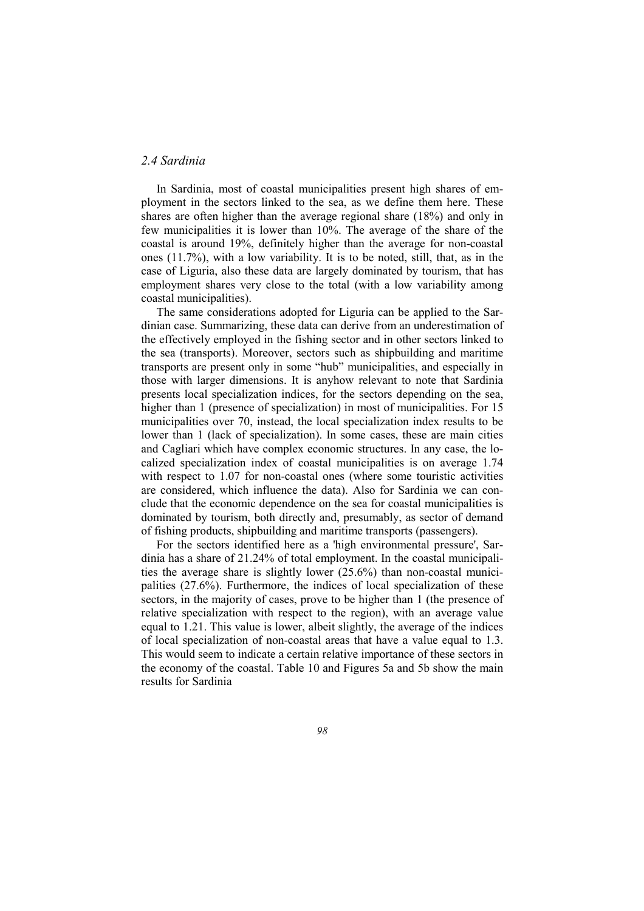## *2.4 Sardinia*

In Sardinia, most of coastal municipalities present high shares of employment in the sectors linked to the sea, as we define them here. These shares are often higher than the average regional share (18%) and only in few municipalities it is lower than 10%. The average of the share of the coastal is around 19%, definitely higher than the average for non-coastal ones (11.7%), with a low variability. It is to be noted, still, that, as in the case of Liguria, also these data are largely dominated by tourism, that has employment shares very close to the total (with a low variability among coastal municipalities).

The same considerations adopted for Liguria can be applied to the Sardinian case. Summarizing, these data can derive from an underestimation of the effectively employed in the fishing sector and in other sectors linked to the sea (transports). Moreover, sectors such as shipbuilding and maritime transports are present only in some "hub" municipalities, and especially in those with larger dimensions. It is anyhow relevant to note that Sardinia presents local specialization indices, for the sectors depending on the sea, higher than 1 (presence of specialization) in most of municipalities. For 15 municipalities over 70, instead, the local specialization index results to be lower than 1 (lack of specialization). In some cases, these are main cities and Cagliari which have complex economic structures. In any case, the localized specialization index of coastal municipalities is on average 1.74 with respect to 1.07 for non-coastal ones (where some touristic activities are considered, which influence the data). Also for Sardinia we can conclude that the economic dependence on the sea for coastal municipalities is dominated by tourism, both directly and, presumably, as sector of demand of fishing products, shipbuilding and maritime transports (passengers).

For the sectors identified here as a 'high environmental pressure', Sardinia has a share of 21.24% of total employment. In the coastal municipalities the average share is slightly lower (25.6%) than non-coastal municipalities (27.6%). Furthermore, the indices of local specialization of these sectors, in the majority of cases, prove to be higher than 1 (the presence of relative specialization with respect to the region), with an average value equal to 1.21. This value is lower, albeit slightly, the average of the indices of local specialization of non-coastal areas that have a value equal to 1.3. This would seem to indicate a certain relative importance of these sectors in the economy of the coastal. Table 10 and Figures 5a and 5b show the main results for Sardinia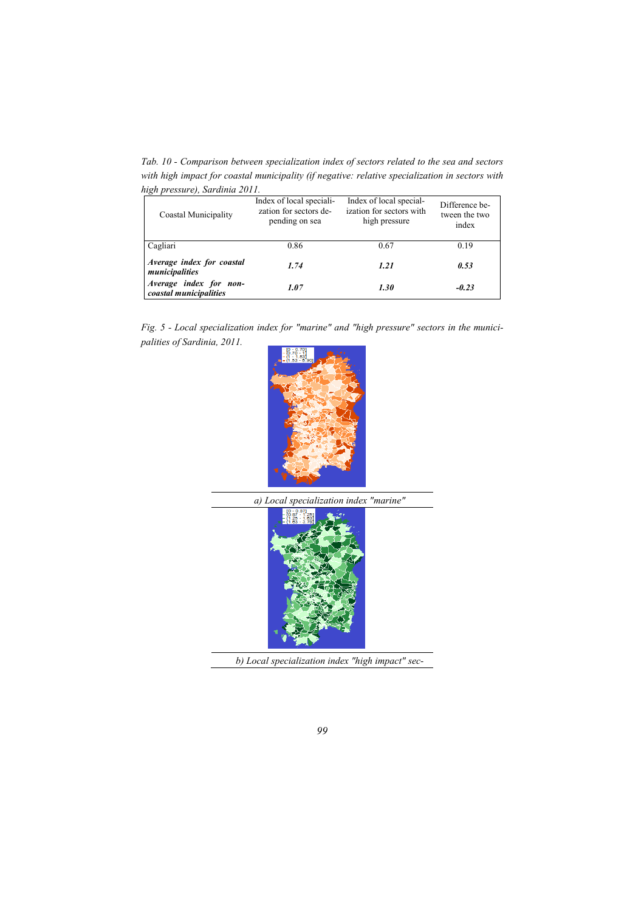*Tab. 10 - Comparison between specialization index of sectors related to the sea and sectors with high impact for coastal municipality (if negative: relative specialization in sectors with high pressure), Sardinia 2011.* 

| Coastal Municipality                             | Index of local speciali-<br>zation for sectors de-<br>pending on sea | Index of local special-<br>ization for sectors with<br>high pressure | Difference be-<br>tween the two<br>index |
|--------------------------------------------------|----------------------------------------------------------------------|----------------------------------------------------------------------|------------------------------------------|
| Cagliari                                         | 0.86                                                                 | 0.67                                                                 | 0.19                                     |
| Average index for coastal<br>municipalities      | 1.74                                                                 | 1.21                                                                 | 0.53                                     |
| Average index for non-<br>coastal municipalities | 1.07                                                                 | 1.30                                                                 | $-0.23$                                  |







*b) Local specialization index "high impact" sec-*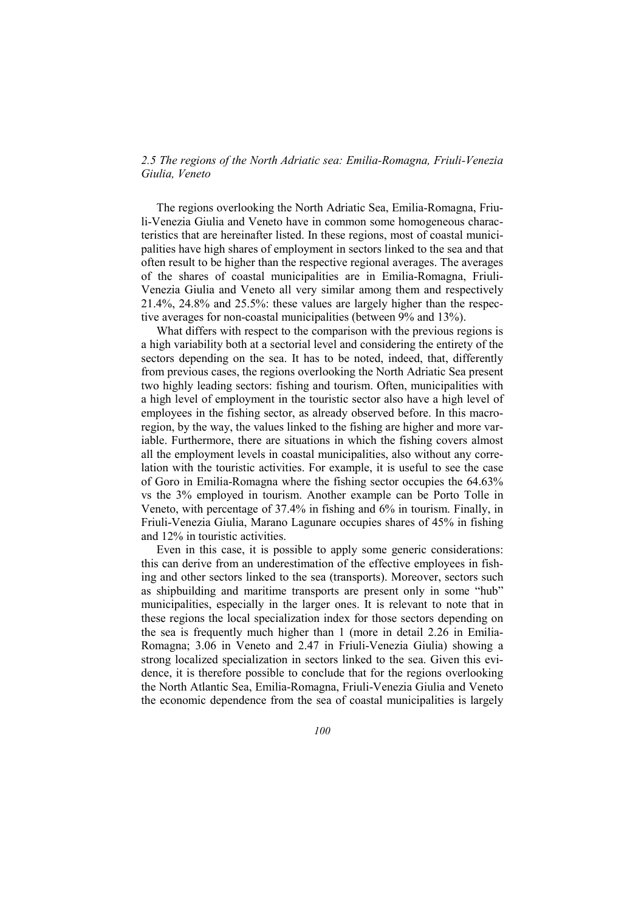## *2.5 The regions of the North Adriatic sea: Emilia-Romagna, Friuli-Venezia Giulia, Veneto*

The regions overlooking the North Adriatic Sea, Emilia-Romagna, Friuli-Venezia Giulia and Veneto have in common some homogeneous characteristics that are hereinafter listed. In these regions, most of coastal municipalities have high shares of employment in sectors linked to the sea and that often result to be higher than the respective regional averages. The averages of the shares of coastal municipalities are in Emilia-Romagna, Friuli-Venezia Giulia and Veneto all very similar among them and respectively 21.4%, 24.8% and 25.5%: these values are largely higher than the respective averages for non-coastal municipalities (between 9% and 13%).

What differs with respect to the comparison with the previous regions is a high variability both at a sectorial level and considering the entirety of the sectors depending on the sea. It has to be noted, indeed, that, differently from previous cases, the regions overlooking the North Adriatic Sea present two highly leading sectors: fishing and tourism. Often, municipalities with a high level of employment in the touristic sector also have a high level of employees in the fishing sector, as already observed before. In this macroregion, by the way, the values linked to the fishing are higher and more variable. Furthermore, there are situations in which the fishing covers almost all the employment levels in coastal municipalities, also without any correlation with the touristic activities. For example, it is useful to see the case of Goro in Emilia-Romagna where the fishing sector occupies the 64.63% vs the 3% employed in tourism. Another example can be Porto Tolle in Veneto, with percentage of 37.4% in fishing and 6% in tourism. Finally, in Friuli-Venezia Giulia, Marano Lagunare occupies shares of 45% in fishing and 12% in touristic activities.

Even in this case, it is possible to apply some generic considerations: this can derive from an underestimation of the effective employees in fishing and other sectors linked to the sea (transports). Moreover, sectors such as shipbuilding and maritime transports are present only in some "hub" municipalities, especially in the larger ones. It is relevant to note that in these regions the local specialization index for those sectors depending on the sea is frequently much higher than 1 (more in detail 2.26 in Emilia-Romagna; 3.06 in Veneto and 2.47 in Friuli-Venezia Giulia) showing a strong localized specialization in sectors linked to the sea. Given this evidence, it is therefore possible to conclude that for the regions overlooking the North Atlantic Sea, Emilia-Romagna, Friuli-Venezia Giulia and Veneto the economic dependence from the sea of coastal municipalities is largely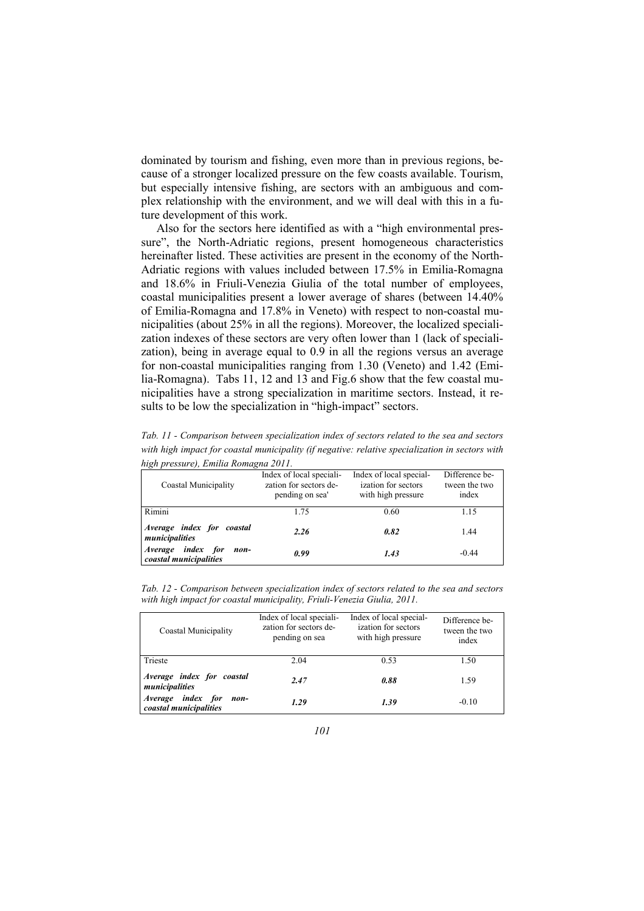dominated by tourism and fishing, even more than in previous regions, because of a stronger localized pressure on the few coasts available. Tourism, but especially intensive fishing, are sectors with an ambiguous and complex relationship with the environment, and we will deal with this in a future development of this work.

Also for the sectors here identified as with a "high environmental pressure", the North-Adriatic regions, present homogeneous characteristics hereinafter listed. These activities are present in the economy of the North-Adriatic regions with values included between 17.5% in Emilia-Romagna and 18.6% in Friuli-Venezia Giulia of the total number of employees, coastal municipalities present a lower average of shares (between 14.40% of Emilia-Romagna and 17.8% in Veneto) with respect to non-coastal municipalities (about 25% in all the regions). Moreover, the localized specialization indexes of these sectors are very often lower than 1 (lack of specialization), being in average equal to 0.9 in all the regions versus an average for non-coastal municipalities ranging from 1.30 (Veneto) and 1.42 (Emilia-Romagna). Tabs 11, 12 and 13 and Fig.6 show that the few coastal municipalities have a strong specialization in maritime sectors. Instead, it results to be low the specialization in "high-impact" sectors.

| high pressure), Emilia Romagna 2011.                |                                                                       |                                                                      |                                          |  |  |  |
|-----------------------------------------------------|-----------------------------------------------------------------------|----------------------------------------------------------------------|------------------------------------------|--|--|--|
| Coastal Municipality                                | Index of local speciali-<br>zation for sectors de-<br>pending on sea' | Index of local special-<br>ization for sectors<br>with high pressure | Difference be-<br>tween the two<br>index |  |  |  |
| Rimini                                              | 1.75                                                                  | 0.60                                                                 | 1.15                                     |  |  |  |
| Average index for coastal<br>municipalities         | 2.26                                                                  | 0.82                                                                 | 1.44                                     |  |  |  |
| Average index for<br>non-<br>coastal municipalities | 0.99                                                                  | 1.43                                                                 | $-0.44$                                  |  |  |  |

*Tab. 11 - Comparison between specialization index of sectors related to the sea and sectors with high impact for coastal municipality (if negative: relative specialization in sectors with* 

*Tab. 12 - Comparison between specialization index of sectors related to the sea and sectors with high impact for coastal municipality, Friuli-Venezia Giulia, 2011.* 

| Coastal Municipality                                          | Index of local speciali-<br>zation for sectors de-<br>pending on sea | Index of local special-<br>ization for sectors<br>with high pressure | Difference be-<br>tween the two<br>index |
|---------------------------------------------------------------|----------------------------------------------------------------------|----------------------------------------------------------------------|------------------------------------------|
| Trieste                                                       | 2.04                                                                 | 0.53                                                                 | 1.50                                     |
| Average index for coastal<br>municipalities                   | 2.47                                                                 | 0.88                                                                 | 1.59                                     |
| <i>index</i> for<br>Average<br>non-<br>coastal municipalities | 1.29                                                                 | 1.39                                                                 | $-0.10$                                  |

*101*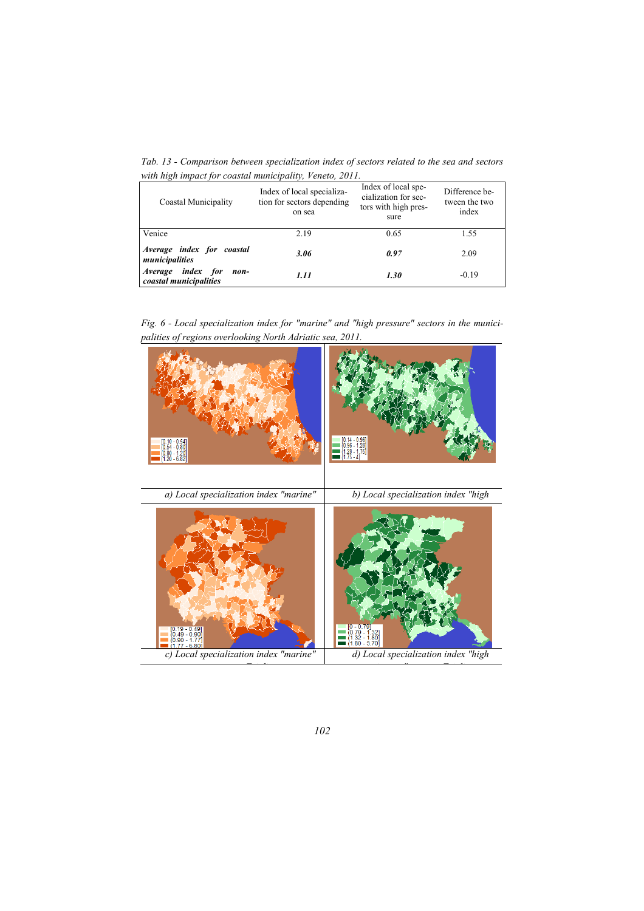*Tab. 13 - Comparison between specialization index of sectors related to the sea and sectors with high impact for coastal municipality, Veneto, 2011.* 

| Coastal Municipality                                          | Index of local specializa-<br>tion for sectors depending<br>on sea | Index of local spe-<br>cialization for sec-<br>tors with high pres-<br>sure | Difference be-<br>tween the two<br>index |
|---------------------------------------------------------------|--------------------------------------------------------------------|-----------------------------------------------------------------------------|------------------------------------------|
| Venice                                                        | 2.19                                                               | 0.65                                                                        | 1.55                                     |
| Average index for coastal<br>municipalities                   | 3.06                                                               | 0.97                                                                        | 2.09                                     |
| <i>index</i> for<br>Average<br>non-<br>coastal municipalities | 1.11                                                               | 1.30                                                                        | $-0.19$                                  |

*Fig. 6 - Local specialization index for "marine" and "high pressure" sectors in the municipalities of regions overlooking North Adriatic sea, 2011.* 



*102*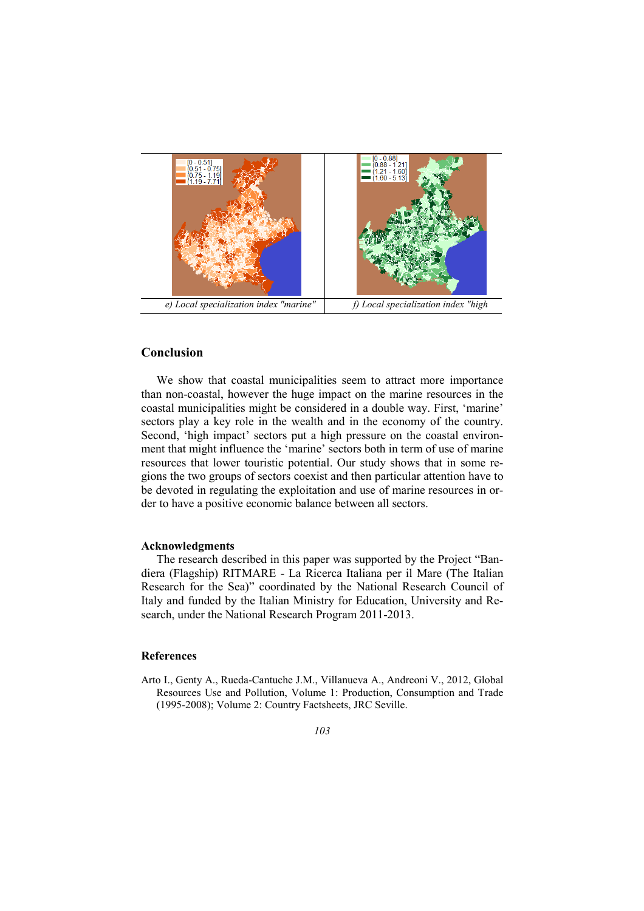

## **Conclusion**

We show that coastal municipalities seem to attract more importance than non-coastal, however the huge impact on the marine resources in the coastal municipalities might be considered in a double way. First, 'marine' sectors play a key role in the wealth and in the economy of the country. Second, 'high impact' sectors put a high pressure on the coastal environment that might influence the 'marine' sectors both in term of use of marine resources that lower touristic potential. Our study shows that in some regions the two groups of sectors coexist and then particular attention have to be devoted in regulating the exploitation and use of marine resources in order to have a positive economic balance between all sectors.

#### **Acknowledgments**

The research described in this paper was supported by the Project "Bandiera (Flagship) RITMARE - La Ricerca Italiana per il Mare (The Italian Research for the Sea)" coordinated by the National Research Council of Italy and funded by the Italian Ministry for Education, University and Research, under the National Research Program 2011-2013.

### **References**

Arto I., Genty A., Rueda-Cantuche J.M., Villanueva A., Andreoni V., 2012, Global Resources Use and Pollution, Volume 1: Production, Consumption and Trade (1995-2008); Volume 2: Country Factsheets, JRC Seville.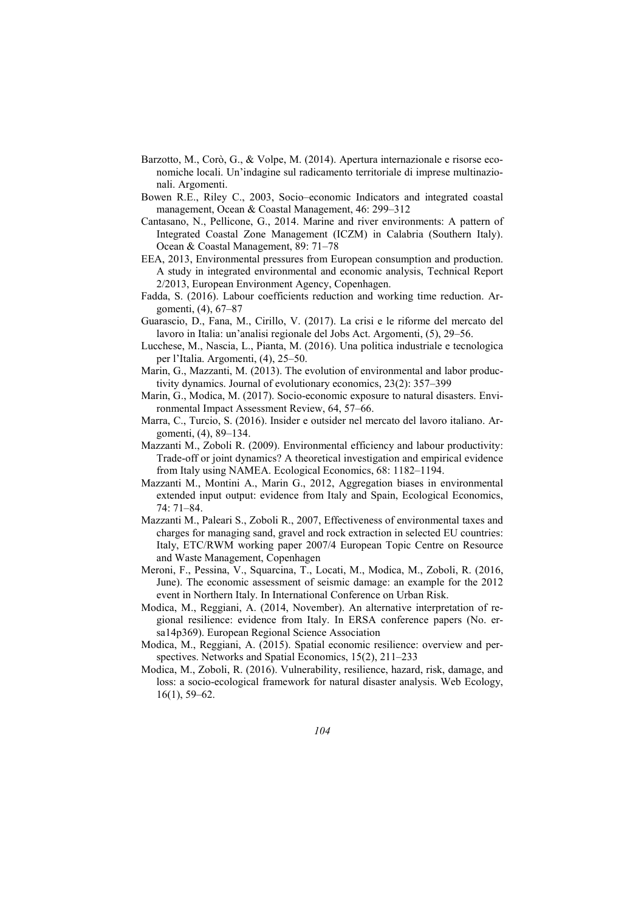- Barzotto, M., Corò, G., & Volpe, M. (2014). Apertura internazionale e risorse economiche locali. Un'indagine sul radicamento territoriale di imprese multinazionali. Argomenti.
- Bowen R.E., Riley C., 2003, Socio–economic Indicators and integrated coastal management, Ocean & Coastal Management, 46: 299–312
- Cantasano, N., Pellicone, G., 2014. Marine and river environments: A pattern of Integrated Coastal Zone Management (ICZM) in Calabria (Southern Italy). Ocean & Coastal Management, 89: 71–78
- EEA, 2013, Environmental pressures from European consumption and production. A study in integrated environmental and economic analysis, Technical Report 2/2013, European Environment Agency, Copenhagen.
- Fadda, S. (2016). Labour coefficients reduction and working time reduction. Argomenti, (4), 67–87
- Guarascio, D., Fana, M., Cirillo, V. (2017). La crisi e le riforme del mercato del lavoro in Italia: un'analisi regionale del Jobs Act. Argomenti, (5), 29–56.
- Lucchese, M., Nascia, L., Pianta, M. (2016). Una politica industriale e tecnologica per l'Italia. Argomenti, (4), 25–50.
- Marin, G., Mazzanti, M. (2013). The evolution of environmental and labor productivity dynamics. Journal of evolutionary economics, 23(2): 357–399
- Marin, G., Modica, M. (2017). Socio-economic exposure to natural disasters. Environmental Impact Assessment Review, 64, 57–66.
- Marra, C., Turcio, S. (2016). Insider e outsider nel mercato del lavoro italiano. Argomenti, (4), 89–134.
- Mazzanti M., Zoboli R. (2009). Environmental efficiency and labour productivity: Trade-off or joint dynamics? A theoretical investigation and empirical evidence from Italy using NAMEA. Ecological Economics, 68: 1182–1194.
- Mazzanti M., Montini A., Marin G., 2012, Aggregation biases in environmental extended input output: evidence from Italy and Spain, Ecological Economics, 74: 71–84.
- Mazzanti M., Paleari S., Zoboli R., 2007, Effectiveness of environmental taxes and charges for managing sand, gravel and rock extraction in selected EU countries: Italy, ETC/RWM working paper 2007/4 European Topic Centre on Resource and Waste Management, Copenhagen
- Meroni, F., Pessina, V., Squarcina, T., Locati, M., Modica, M., Zoboli, R. (2016, June). The economic assessment of seismic damage: an example for the 2012 event in Northern Italy. In International Conference on Urban Risk.
- Modica, M., Reggiani, A. (2014, November). An alternative interpretation of regional resilience: evidence from Italy. In ERSA conference papers (No. ersa14p369). European Regional Science Association
- Modica, M., Reggiani, A. (2015). Spatial economic resilience: overview and perspectives. Networks and Spatial Economics, 15(2), 211–233
- Modica, M., Zoboli, R. (2016). Vulnerability, resilience, hazard, risk, damage, and loss: a socio-ecological framework for natural disaster analysis. Web Ecology, 16(1), 59–62.